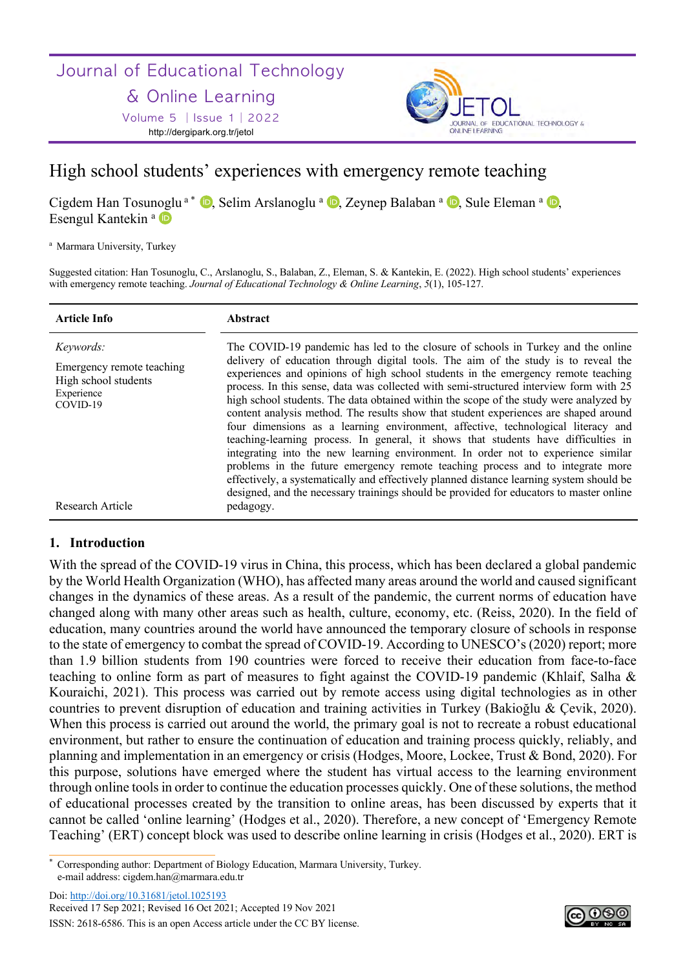# Journal of Educational Technology

## & Online Learning

Volume 5 │Issue 1│2022 http://dergipark.org.tr/jetol



## High school students' experiences with emergency remote teaching

Cigdem Han Tosunoglu<sup>a</sub> \* **D**, Selim Arslanoglu <sup>a</sup> **D**, Zeynep Balaban <sup>a</sup> **D**, Sule Eleman <sup>a</sup> **D**,</sup> Esengul Kantekin<sup>a</sup>

<sup>a</sup> Marmara University, Turkey

Suggested citation: Han Tosunoglu, C., Arslanoglu, S., Balaban, Z., Eleman, S. & Kantekin, E. (2022). High school students' experiences with emergency remote teaching. *Journal of Educational Technology & Online Learning*, *5*(1), 105-127.

| <b>Article Info</b>                                                                                                 | Abstract                                                                                                                                                                                                                                                                                                                                                                                                                                                                                                                                                                                                                                                                                                                                                                                                                                                                                                                                                                                                                                                                                     |
|---------------------------------------------------------------------------------------------------------------------|----------------------------------------------------------------------------------------------------------------------------------------------------------------------------------------------------------------------------------------------------------------------------------------------------------------------------------------------------------------------------------------------------------------------------------------------------------------------------------------------------------------------------------------------------------------------------------------------------------------------------------------------------------------------------------------------------------------------------------------------------------------------------------------------------------------------------------------------------------------------------------------------------------------------------------------------------------------------------------------------------------------------------------------------------------------------------------------------|
| <i>Keywords:</i><br>Emergency remote teaching<br>High school students<br>Experience<br>COVID-19<br>Research Article | The COVID-19 pandemic has led to the closure of schools in Turkey and the online<br>delivery of education through digital tools. The aim of the study is to reveal the<br>experiences and opinions of high school students in the emergency remote teaching<br>process. In this sense, data was collected with semi-structured interview form with 25<br>high school students. The data obtained within the scope of the study were analyzed by<br>content analysis method. The results show that student experiences are shaped around<br>four dimensions as a learning environment, affective, technological literacy and<br>teaching-learning process. In general, it shows that students have difficulties in<br>integrating into the new learning environment. In order not to experience similar<br>problems in the future emergency remote teaching process and to integrate more<br>effectively, a systematically and effectively planned distance learning system should be<br>designed, and the necessary trainings should be provided for educators to master online<br>pedagogy. |
|                                                                                                                     |                                                                                                                                                                                                                                                                                                                                                                                                                                                                                                                                                                                                                                                                                                                                                                                                                                                                                                                                                                                                                                                                                              |

## **1. Introduction**

With the spread of the COVID-19 virus in China, this process, which has been declared a global pandemic by the World Health Organization (WHO), has affected many areas around the world and caused significant changes in the dynamics of these areas. As a result of the pandemic, the current norms of education have changed along with many other areas such as health, culture, economy, etc. (Reiss, 2020). In the field of education, many countries around the world have announced the temporary closure of schools in response to the state of emergency to combat the spread of COVID-19. According to UNESCO's (2020) report; more than 1.9 billion students from 190 countries were forced to receive their education from face-to-face teaching to online form as part of measures to fight against the COVID-19 pandemic (Khlaif, Salha & Kouraichi, 2021). This process was carried out by remote access using digital technologies as in other countries to prevent disruption of education and training activities in Turkey (Bakioğlu & Çevik, 2020). When this process is carried out around the world, the primary goal is not to recreate a robust educational environment, but rather to ensure the continuation of education and training process quickly, reliably, and planning and implementation in an emergency or crisis (Hodges, Moore, Lockee, Trust & Bond, 2020). For this purpose, solutions have emerged where the student has virtual access to the learning environment through online tools in order to continue the education processes quickly. One of these solutions, the method of educational processes created by the transition to online areas, has been discussed by experts that it cannot be called 'online learning' (Hodges et al., 2020). Therefore, a new concept of 'Emergency Remote Teaching' (ERT) concept block was used to describe online learning in crisis (Hodges et al., 2020). ERT is

Doi: http://doi.org/10.31681/jetol.1025193

Received 17 Sep 2021; Revised 16 Oct 2021; Accepted 19 Nov 2021 ISSN: 2618-6586. This is an open Access article under the CC BY license.



<sup>\*</sup> Corresponding author: Department of Biology Education, Marmara University, Turkey. e-mail address: cigdem.han@marmara.edu.tr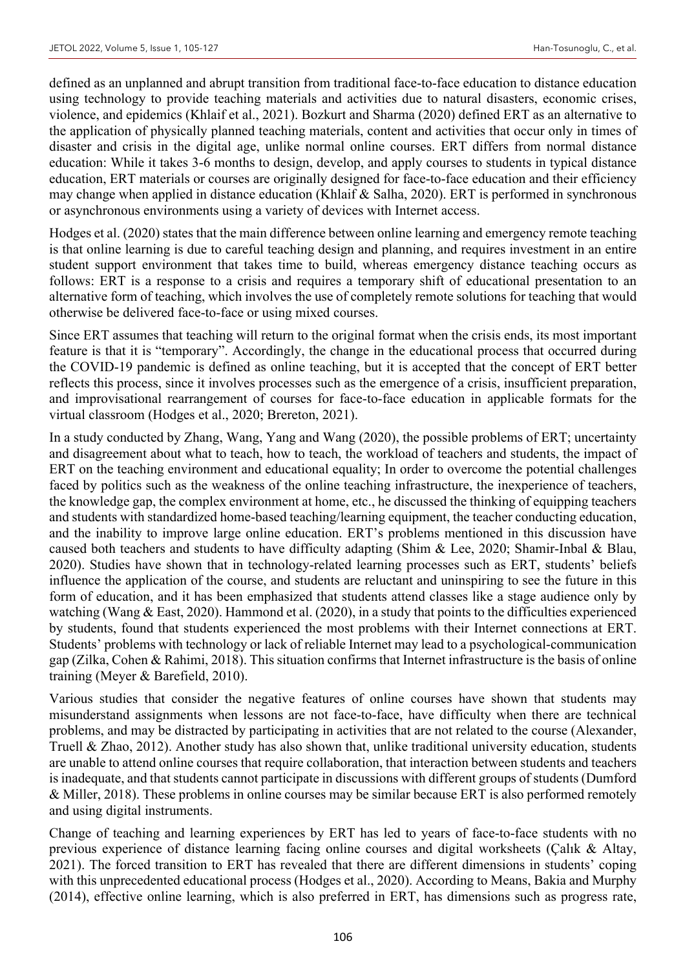defined as an unplanned and abrupt transition from traditional face-to-face education to distance education using technology to provide teaching materials and activities due to natural disasters, economic crises, violence, and epidemics (Khlaif et al., 2021). Bozkurt and Sharma (2020) defined ERT as an alternative to the application of physically planned teaching materials, content and activities that occur only in times of disaster and crisis in the digital age, unlike normal online courses. ERT differs from normal distance education: While it takes 3-6 months to design, develop, and apply courses to students in typical distance education, ERT materials or courses are originally designed for face-to-face education and their efficiency may change when applied in distance education (Khlaif & Salha, 2020). ERT is performed in synchronous or asynchronous environments using a variety of devices with Internet access.

Hodges et al. (2020) states that the main difference between online learning and emergency remote teaching is that online learning is due to careful teaching design and planning, and requires investment in an entire student support environment that takes time to build, whereas emergency distance teaching occurs as follows: ERT is a response to a crisis and requires a temporary shift of educational presentation to an alternative form of teaching, which involves the use of completely remote solutions for teaching that would otherwise be delivered face-to-face or using mixed courses.

Since ERT assumes that teaching will return to the original format when the crisis ends, its most important feature is that it is "temporary". Accordingly, the change in the educational process that occurred during the COVID-19 pandemic is defined as online teaching, but it is accepted that the concept of ERT better reflects this process, since it involves processes such as the emergence of a crisis, insufficient preparation, and improvisational rearrangement of courses for face-to-face education in applicable formats for the virtual classroom (Hodges et al., 2020; Brereton, 2021).

In a study conducted by Zhang, Wang, Yang and Wang (2020), the possible problems of ERT; uncertainty and disagreement about what to teach, how to teach, the workload of teachers and students, the impact of ERT on the teaching environment and educational equality; In order to overcome the potential challenges faced by politics such as the weakness of the online teaching infrastructure, the inexperience of teachers, the knowledge gap, the complex environment at home, etc., he discussed the thinking of equipping teachers and students with standardized home-based teaching/learning equipment, the teacher conducting education, and the inability to improve large online education. ERT's problems mentioned in this discussion have caused both teachers and students to have difficulty adapting (Shim & Lee, 2020; Shamir-Inbal & Blau, 2020). Studies have shown that in technology-related learning processes such as ERT, students' beliefs influence the application of the course, and students are reluctant and uninspiring to see the future in this form of education, and it has been emphasized that students attend classes like a stage audience only by watching (Wang & East, 2020). Hammond et al. (2020), in a study that points to the difficulties experienced by students, found that students experienced the most problems with their Internet connections at ERT. Students' problems with technology or lack of reliable Internet may lead to a psychological-communication gap (Zilka, Cohen & Rahimi, 2018). This situation confirms that Internet infrastructure is the basis of online training (Meyer & Barefield, 2010).

Various studies that consider the negative features of online courses have shown that students may misunderstand assignments when lessons are not face-to-face, have difficulty when there are technical problems, and may be distracted by participating in activities that are not related to the course (Alexander, Truell & Zhao, 2012). Another study has also shown that, unlike traditional university education, students are unable to attend online courses that require collaboration, that interaction between students and teachers is inadequate, and that students cannot participate in discussions with different groups of students (Dumford & Miller, 2018). These problems in online courses may be similar because ERT is also performed remotely and using digital instruments.

Change of teaching and learning experiences by ERT has led to years of face-to-face students with no previous experience of distance learning facing online courses and digital worksheets (Çalık & Altay, 2021). The forced transition to ERT has revealed that there are different dimensions in students' coping with this unprecedented educational process (Hodges et al., 2020). According to Means, Bakia and Murphy (2014), effective online learning, which is also preferred in ERT, has dimensions such as progress rate,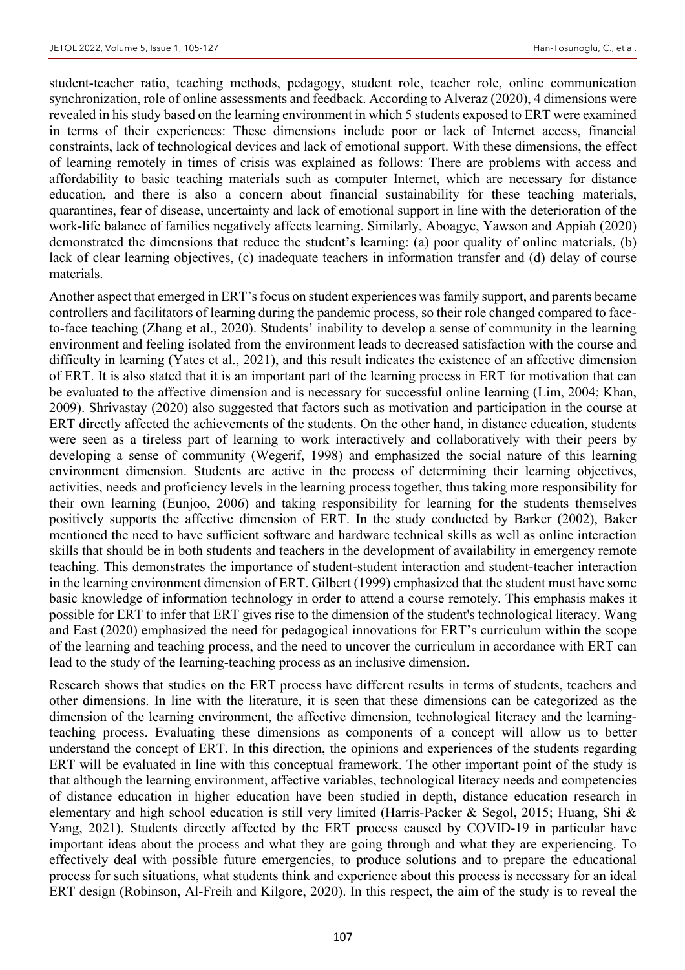student-teacher ratio, teaching methods, pedagogy, student role, teacher role, online communication synchronization, role of online assessments and feedback. According to Alveraz (2020), 4 dimensions were revealed in his study based on the learning environment in which 5 students exposed to ERT were examined in terms of their experiences: These dimensions include poor or lack of Internet access, financial constraints, lack of technological devices and lack of emotional support. With these dimensions, the effect of learning remotely in times of crisis was explained as follows: There are problems with access and affordability to basic teaching materials such as computer Internet, which are necessary for distance education, and there is also a concern about financial sustainability for these teaching materials, quarantines, fear of disease, uncertainty and lack of emotional support in line with the deterioration of the work-life balance of families negatively affects learning. Similarly, Aboagye, Yawson and Appiah (2020) demonstrated the dimensions that reduce the student's learning: (a) poor quality of online materials, (b) lack of clear learning objectives, (c) inadequate teachers in information transfer and (d) delay of course materials.

Another aspect that emerged in ERT's focus on student experiences was family support, and parents became controllers and facilitators of learning during the pandemic process, so their role changed compared to faceto-face teaching (Zhang et al., 2020). Students' inability to develop a sense of community in the learning environment and feeling isolated from the environment leads to decreased satisfaction with the course and difficulty in learning (Yates et al., 2021), and this result indicates the existence of an affective dimension of ERT. It is also stated that it is an important part of the learning process in ERT for motivation that can be evaluated to the affective dimension and is necessary for successful online learning (Lim, 2004; Khan, 2009). Shrivastay (2020) also suggested that factors such as motivation and participation in the course at ERT directly affected the achievements of the students. On the other hand, in distance education, students were seen as a tireless part of learning to work interactively and collaboratively with their peers by developing a sense of community (Wegerif, 1998) and emphasized the social nature of this learning environment dimension. Students are active in the process of determining their learning objectives, activities, needs and proficiency levels in the learning process together, thus taking more responsibility for their own learning (Eunjoo, 2006) and taking responsibility for learning for the students themselves positively supports the affective dimension of ERT. In the study conducted by Barker (2002), Baker mentioned the need to have sufficient software and hardware technical skills as well as online interaction skills that should be in both students and teachers in the development of availability in emergency remote teaching. This demonstrates the importance of student-student interaction and student-teacher interaction in the learning environment dimension of ERT. Gilbert (1999) emphasized that the student must have some basic knowledge of information technology in order to attend a course remotely. This emphasis makes it possible for ERT to infer that ERT gives rise to the dimension of the student's technological literacy. Wang and East (2020) emphasized the need for pedagogical innovations for ERT's curriculum within the scope of the learning and teaching process, and the need to uncover the curriculum in accordance with ERT can lead to the study of the learning-teaching process as an inclusive dimension.

Research shows that studies on the ERT process have different results in terms of students, teachers and other dimensions. In line with the literature, it is seen that these dimensions can be categorized as the dimension of the learning environment, the affective dimension, technological literacy and the learningteaching process. Evaluating these dimensions as components of a concept will allow us to better understand the concept of ERT. In this direction, the opinions and experiences of the students regarding ERT will be evaluated in line with this conceptual framework. The other important point of the study is that although the learning environment, affective variables, technological literacy needs and competencies of distance education in higher education have been studied in depth, distance education research in elementary and high school education is still very limited (Harris-Packer & Segol, 2015; Huang, Shi & Yang, 2021). Students directly affected by the ERT process caused by COVID-19 in particular have important ideas about the process and what they are going through and what they are experiencing. To effectively deal with possible future emergencies, to produce solutions and to prepare the educational process for such situations, what students think and experience about this process is necessary for an ideal ERT design (Robinson, Al-Freih and Kilgore, 2020). In this respect, the aim of the study is to reveal the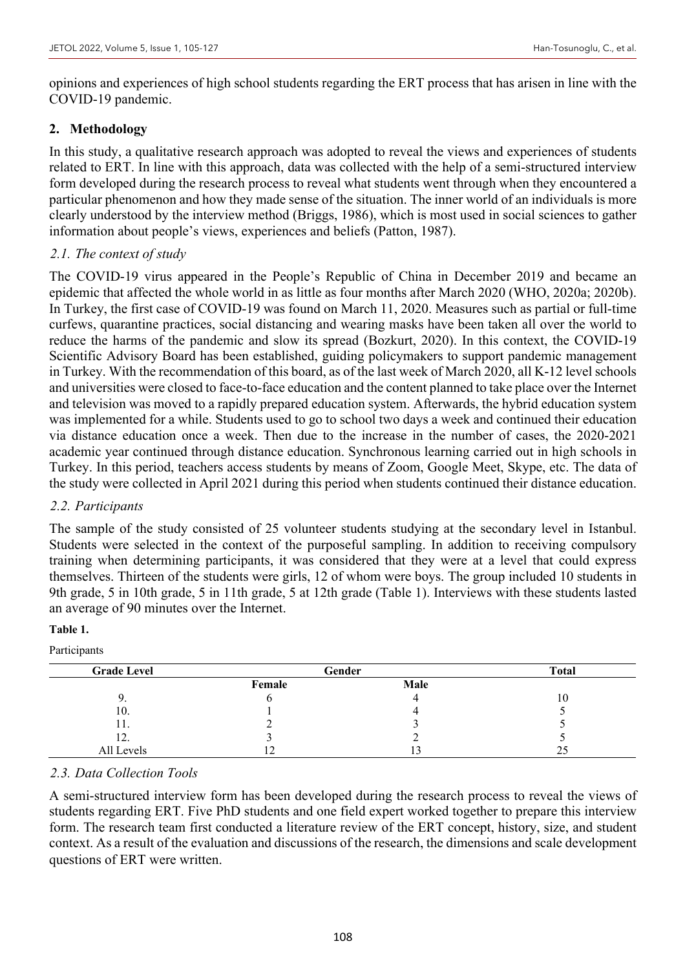opinions and experiences of high school students regarding the ERT process that has arisen in line with the COVID-19 pandemic.

### **2. Methodology**

In this study, a qualitative research approach was adopted to reveal the views and experiences of students related to ERT. In line with this approach, data was collected with the help of a semi-structured interview form developed during the research process to reveal what students went through when they encountered a particular phenomenon and how they made sense of the situation. The inner world of an individuals is more clearly understood by the interview method (Briggs, 1986), which is most used in social sciences to gather information about people's views, experiences and beliefs (Patton, 1987).

## *2.1. The context of study*

The COVID-19 virus appeared in the People's Republic of China in December 2019 and became an epidemic that affected the whole world in as little as four months after March 2020 (WHO, 2020a; 2020b). In Turkey, the first case of COVID-19 was found on March 11, 2020. Measures such as partial or full-time curfews, quarantine practices, social distancing and wearing masks have been taken all over the world to reduce the harms of the pandemic and slow its spread (Bozkurt, 2020). In this context, the COVID-19 Scientific Advisory Board has been established, guiding policymakers to support pandemic management in Turkey. With the recommendation of this board, as of the last week of March 2020, all K-12 level schools and universities were closed to face-to-face education and the content planned to take place over the Internet and television was moved to a rapidly prepared education system. Afterwards, the hybrid education system was implemented for a while. Students used to go to school two days a week and continued their education via distance education once a week. Then due to the increase in the number of cases, the 2020-2021 academic year continued through distance education. Synchronous learning carried out in high schools in Turkey. In this period, teachers access students by means of Zoom, Google Meet, Skype, etc. The data of the study were collected in April 2021 during this period when students continued their distance education.

## *2.2. Participants*

The sample of the study consisted of 25 volunteer students studying at the secondary level in Istanbul. Students were selected in the context of the purposeful sampling. In addition to receiving compulsory training when determining participants, it was considered that they were at a level that could express themselves. Thirteen of the students were girls, 12 of whom were boys. The group included 10 students in 9th grade, 5 in 10th grade, 5 in 11th grade, 5 at 12th grade (Table 1). Interviews with these students lasted an average of 90 minutes over the Internet.

#### **Table 1.**

Participants

| <b>Grade Level</b> | Gender | <b>Total</b> |     |
|--------------------|--------|--------------|-----|
|                    | Female | Male         |     |
|                    |        |              | 1 Ο |
| 10.                |        |              |     |
| 11.                |        |              |     |
| 12.                |        |              |     |
| All Levels         | ┸      |              | ت   |

## *2.3. Data Collection Tools*

A semi-structured interview form has been developed during the research process to reveal the views of students regarding ERT. Five PhD students and one field expert worked together to prepare this interview form. The research team first conducted a literature review of the ERT concept, history, size, and student context. As a result of the evaluation and discussions of the research, the dimensions and scale development questions of ERT were written.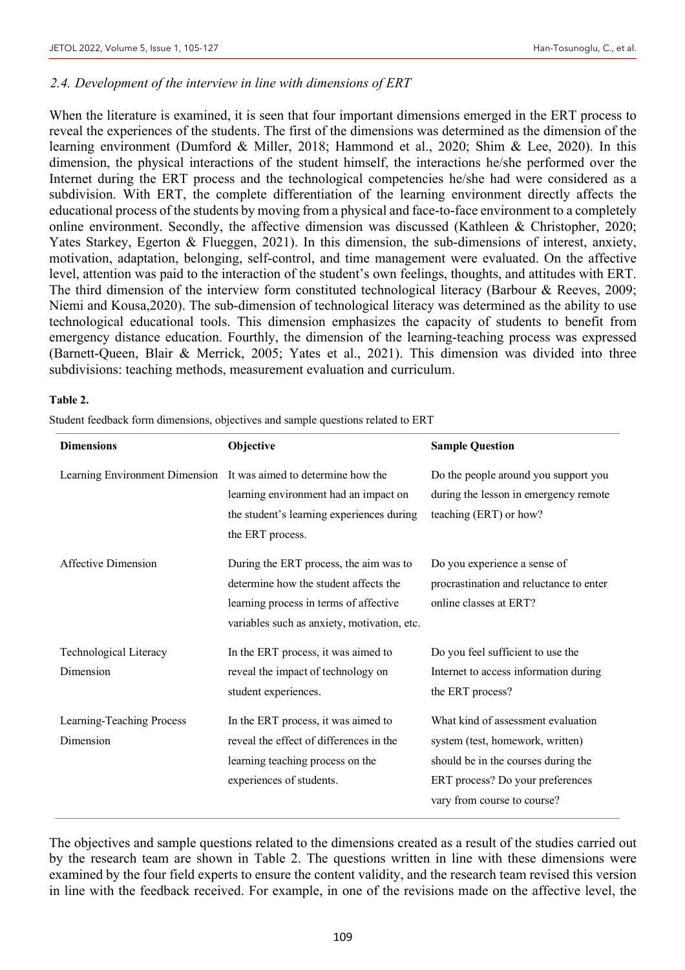#### *2.4. Development of the interview in line with dimensions of ERT*

When the literature is examined, it is seen that four important dimensions emerged in the ERT process to reveal the experiences of the students. The first of the dimensions was determined as the dimension of the learning environment (Dumford & Miller, 2018; Hammond et al., 2020; Shim & Lee, 2020). In this dimension, the physical interactions of the student himself, the interactions he/she performed over the Internet during the ERT process and the technological competencies he/she had were considered as a subdivision. With ERT, the complete differentiation of the learning environment directly affects the educational process of the students by moving from a physical and face-to-face environment to a completely online environment. Secondly, the affective dimension was discussed (Kathleen & Christopher, 2020; Yates Starkey, Egerton & Flueggen, 2021). In this dimension, the sub-dimensions of interest, anxiety, motivation, adaptation, belonging, self-control, and time management were evaluated. On the affective level, attention was paid to the interaction of the student's own feelings, thoughts, and attitudes with ERT. The third dimension of the interview form constituted technological literacy (Barbour & Reeves, 2009; Niemi and Kousa,2020). The sub-dimension of technological literacy was determined as the ability to use technological educational tools. This dimension emphasizes the capacity of students to benefit from emergency distance education. Fourthly, the dimension of the learning-teaching process was expressed (Barnett-Queen, Blair & Merrick, 2005; Yates et al., 2021). This dimension was divided into three subdivisions: teaching methods, measurement evaluation and curriculum.

#### **Table 2.**

Student feedback form dimensions, objectives and sample questions related to ERT

| <b>Dimensions</b>                      | Objective                                                                                                                                                                | <b>Sample Question</b>                                                                                                                                                           |
|----------------------------------------|--------------------------------------------------------------------------------------------------------------------------------------------------------------------------|----------------------------------------------------------------------------------------------------------------------------------------------------------------------------------|
| Learning Environment Dimension         | It was aimed to determine how the<br>learning environment had an impact on<br>the student's learning experiences during<br>the ERT process.                              | Do the people around you support you<br>during the lesson in emergency remote<br>teaching (ERT) or how?                                                                          |
| Affective Dimension                    | During the ERT process, the aim was to<br>determine how the student affects the<br>learning process in terms of affective<br>variables such as anxiety, motivation, etc. | Do you experience a sense of<br>procrastination and reluctance to enter<br>online classes at ERT?                                                                                |
| Technological Literacy<br>Dimension    | In the ERT process, it was aimed to<br>reveal the impact of technology on<br>student experiences.                                                                        | Do you feel sufficient to use the<br>Internet to access information during<br>the ERT process?                                                                                   |
| Learning-Teaching Process<br>Dimension | In the ERT process, it was aimed to<br>reveal the effect of differences in the<br>learning teaching process on the<br>experiences of students.                           | What kind of assessment evaluation<br>system (test, homework, written)<br>should be in the courses during the<br>ERT process? Do your preferences<br>vary from course to course? |

The objectives and sample questions related to the dimensions created as a result of the studies carried out by the research team are shown in Table 2. The questions written in line with these dimensions were examined by the four field experts to ensure the content validity, and the research team revised this version in line with the feedback received. For example, in one of the revisions made on the affective level, the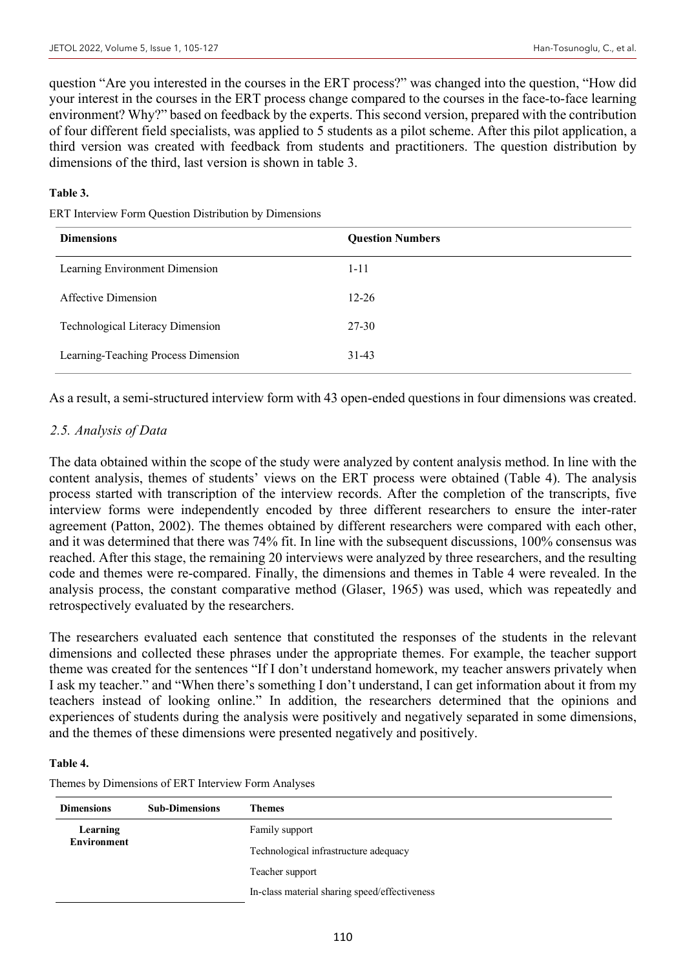question "Are you interested in the courses in the ERT process?" was changed into the question, "How did your interest in the courses in the ERT process change compared to the courses in the face-to-face learning environment? Why?" based on feedback by the experts. This second version, prepared with the contribution of four different field specialists, was applied to 5 students as a pilot scheme. After this pilot application, a third version was created with feedback from students and practitioners. The question distribution by dimensions of the third, last version is shown in table 3.

#### **Table 3.**

ERT Interview Form Question Distribution by Dimensions

| <b>Dimensions</b>                   | <b>Question Numbers</b> |
|-------------------------------------|-------------------------|
| Learning Environment Dimension      | $1 - 11$                |
| Affective Dimension                 | $12 - 26$               |
| Technological Literacy Dimension    | 27-30                   |
| Learning-Teaching Process Dimension | $31-43$                 |

As a result, a semi-structured interview form with 43 open-ended questions in four dimensions was created.

## *2.5. Analysis of Data*

The data obtained within the scope of the study were analyzed by content analysis method. In line with the content analysis, themes of students' views on the ERT process were obtained (Table 4). The analysis process started with transcription of the interview records. After the completion of the transcripts, five interview forms were independently encoded by three different researchers to ensure the inter-rater agreement (Patton, 2002). The themes obtained by different researchers were compared with each other, and it was determined that there was 74% fit. In line with the subsequent discussions, 100% consensus was reached. After this stage, the remaining 20 interviews were analyzed by three researchers, and the resulting code and themes were re-compared. Finally, the dimensions and themes in Table 4 were revealed. In the analysis process, the constant comparative method (Glaser, 1965) was used, which was repeatedly and retrospectively evaluated by the researchers.

The researchers evaluated each sentence that constituted the responses of the students in the relevant dimensions and collected these phrases under the appropriate themes. For example, the teacher support theme was created for the sentences "If I don't understand homework, my teacher answers privately when I ask my teacher." and "When there's something I don't understand, I can get information about it from my teachers instead of looking online." In addition, the researchers determined that the opinions and experiences of students during the analysis were positively and negatively separated in some dimensions, and the themes of these dimensions were presented negatively and positively.

#### **Table 4.**

Themes by Dimensions of ERT Interview Form Analyses

| <b>Dimensions</b>  | <b>Sub-Dimensions</b> | Themes                                        |
|--------------------|-----------------------|-----------------------------------------------|
| Learning           |                       | Family support                                |
| <b>Environment</b> |                       | Technological infrastructure adequacy         |
|                    |                       | Teacher support                               |
|                    |                       | In-class material sharing speed/effectiveness |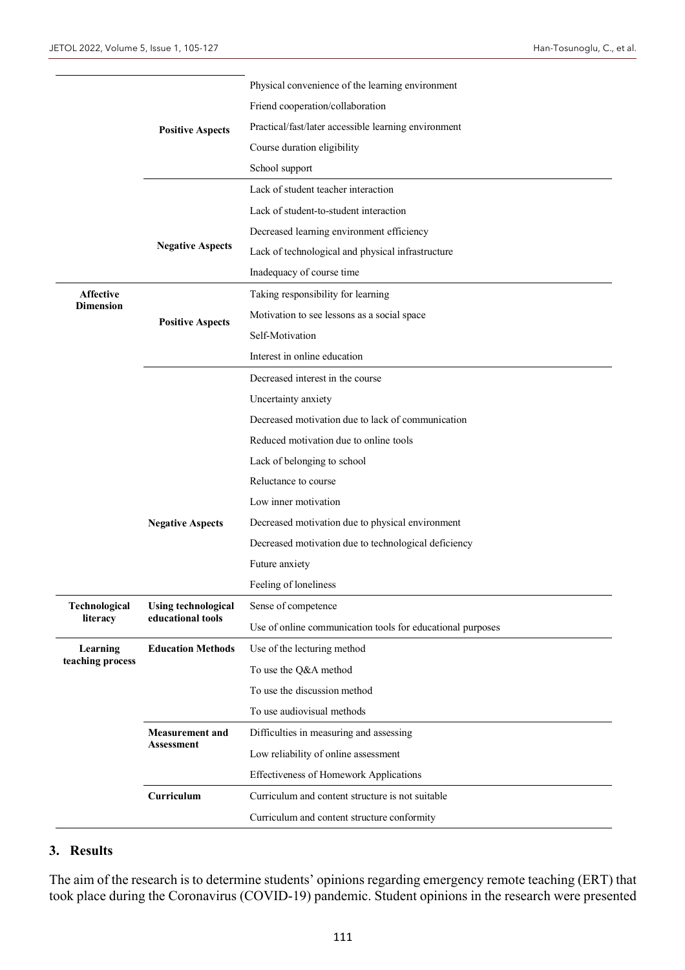|                                      |                                                 | Physical convenience of the learning environment           |  |  |  |  |
|--------------------------------------|-------------------------------------------------|------------------------------------------------------------|--|--|--|--|
|                                      |                                                 | Friend cooperation/collaboration                           |  |  |  |  |
|                                      | <b>Positive Aspects</b>                         | Practical/fast/later accessible learning environment       |  |  |  |  |
|                                      |                                                 | Course duration eligibility                                |  |  |  |  |
|                                      |                                                 | School support                                             |  |  |  |  |
|                                      |                                                 | Lack of student teacher interaction                        |  |  |  |  |
|                                      |                                                 | Lack of student-to-student interaction                     |  |  |  |  |
|                                      |                                                 | Decreased learning environment efficiency                  |  |  |  |  |
|                                      | <b>Negative Aspects</b>                         | Lack of technological and physical infrastructure          |  |  |  |  |
|                                      |                                                 | Inadequacy of course time                                  |  |  |  |  |
| <b>Affective</b><br><b>Dimension</b> |                                                 | Taking responsibility for learning                         |  |  |  |  |
|                                      | <b>Positive Aspects</b>                         | Motivation to see lessons as a social space                |  |  |  |  |
|                                      |                                                 | Self-Motivation                                            |  |  |  |  |
|                                      |                                                 | Interest in online education                               |  |  |  |  |
|                                      |                                                 | Decreased interest in the course                           |  |  |  |  |
|                                      |                                                 | Uncertainty anxiety                                        |  |  |  |  |
|                                      |                                                 | Decreased motivation due to lack of communication          |  |  |  |  |
|                                      |                                                 | Reduced motivation due to online tools                     |  |  |  |  |
|                                      |                                                 | Lack of belonging to school                                |  |  |  |  |
|                                      |                                                 | Reluctance to course                                       |  |  |  |  |
|                                      |                                                 | Low inner motivation                                       |  |  |  |  |
|                                      | <b>Negative Aspects</b>                         | Decreased motivation due to physical environment           |  |  |  |  |
|                                      |                                                 | Decreased motivation due to technological deficiency       |  |  |  |  |
|                                      |                                                 | Future anxiety                                             |  |  |  |  |
|                                      |                                                 | Feeling of loneliness                                      |  |  |  |  |
| Technological                        | <b>Using technological</b><br>educational tools | Sense of competence                                        |  |  |  |  |
| literacy                             |                                                 | Use of online communication tools for educational purposes |  |  |  |  |
| Learning                             | <b>Education Methods</b>                        | Use of the lecturing method                                |  |  |  |  |
| teaching process                     |                                                 | To use the Q&A method                                      |  |  |  |  |
|                                      |                                                 | To use the discussion method                               |  |  |  |  |
|                                      |                                                 | To use audiovisual methods                                 |  |  |  |  |
|                                      | <b>Measurement and</b>                          | Difficulties in measuring and assessing                    |  |  |  |  |
|                                      | Assessment                                      | Low reliability of online assessment                       |  |  |  |  |
|                                      |                                                 | Effectiveness of Homework Applications                     |  |  |  |  |
|                                      | Curriculum                                      | Curriculum and content structure is not suitable           |  |  |  |  |
|                                      |                                                 | Curriculum and content structure conformity                |  |  |  |  |

## **3. Results**

The aim of the research is to determine students' opinions regarding emergency remote teaching (ERT) that took place during the Coronavirus (COVID-19) pandemic. Student opinions in the research were presented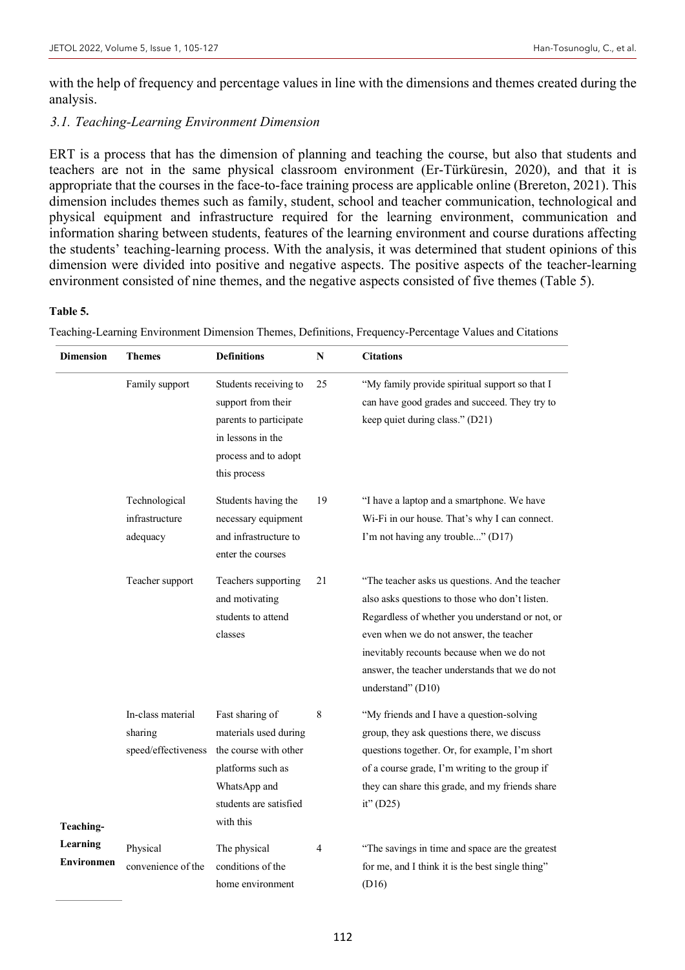with the help of frequency and percentage values in line with the dimensions and themes created during the analysis.

## *3.1. Teaching-Learning Environment Dimension*

ERT is a process that has the dimension of planning and teaching the course, but also that students and teachers are not in the same physical classroom environment (Er-Türküresin, 2020), and that it is appropriate that the courses in the face-to-face training process are applicable online (Brereton, 2021). This dimension includes themes such as family, student, school and teacher communication, technological and physical equipment and infrastructure required for the learning environment, communication and information sharing between students, features of the learning environment and course durations affecting the students' teaching-learning process. With the analysis, it was determined that student opinions of this dimension were divided into positive and negative aspects. The positive aspects of the teacher-learning environment consisted of nine themes, and the negative aspects consisted of five themes (Table 5).

#### **Table 5.**

**Dimension Themes Definitions N Citations Teaching-Learning Environmen** Family support Students receiving to support from their parents to participate in lessons in the process and to adopt this process 25 "My family provide spiritual support so that I can have good grades and succeed. They try to keep quiet during class." (D21) Technological infrastructure adequacy Students having the necessary equipment and infrastructure to enter the courses 19 "I have a laptop and a smartphone. We have Wi-Fi in our house. That's why I can connect. I'm not having any trouble..." (D17) Teacher support Teachers supporting and motivating students to attend classes 21 "The teacher asks us questions. And the teacher also asks questions to those who don't listen. Regardless of whether you understand or not, or even when we do not answer, the teacher inevitably recounts because when we do not answer, the teacher understands that we do not understand" (D10) In-class material sharing speed/effectiveness Fast sharing of materials used during the course with other platforms such as WhatsApp and students are satisfied with this 8 "My friends and I have a question-solving group, they ask questions there, we discuss questions together. Or, for example, I'm short of a course grade, I'm writing to the group if they can share this grade, and my friends share it" (D25) Physical convenience of the The physical conditions of the home environment 4 "The savings in time and space are the greatest for me, and I think it is the best single thing" (D16)

Teaching-Learning Environment Dimension Themes, Definitions, Frequency-Percentage Values and Citations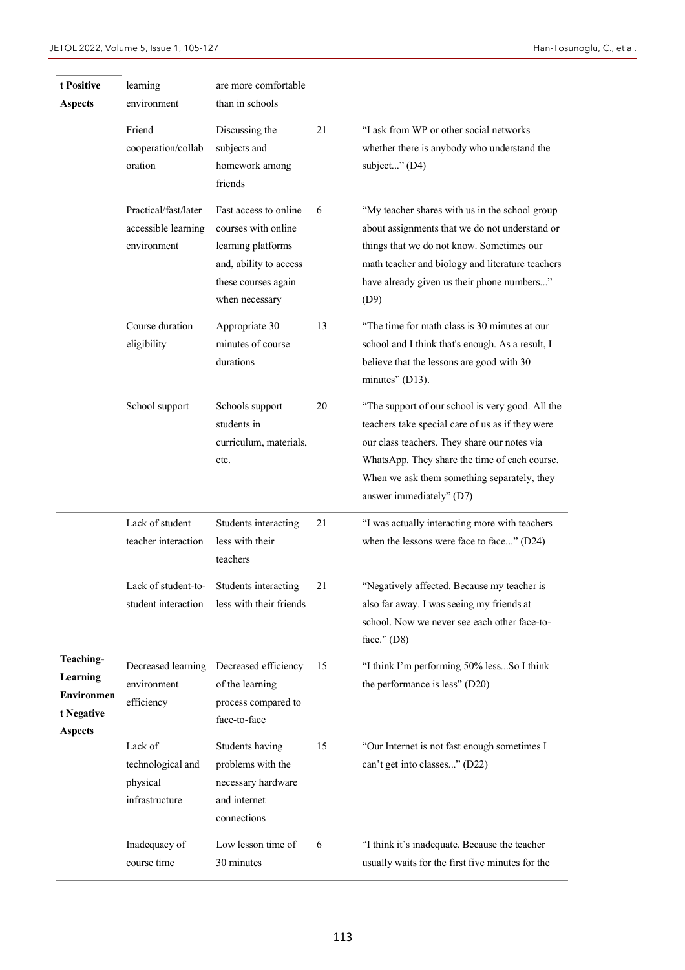| t Positive<br><b>Aspects</b>                                        | learning<br>environment                                    | are more comfortable<br>than in schools                                                                                               |    |                                                                                                                                                                                                                                                                                  |  |  |  |
|---------------------------------------------------------------------|------------------------------------------------------------|---------------------------------------------------------------------------------------------------------------------------------------|----|----------------------------------------------------------------------------------------------------------------------------------------------------------------------------------------------------------------------------------------------------------------------------------|--|--|--|
|                                                                     | Friend<br>cooperation/collab<br>oration                    | Discussing the<br>subjects and<br>homework among<br>friends                                                                           | 21 | "I ask from WP or other social networks<br>whether there is anybody who understand the<br>subject" (D4)                                                                                                                                                                          |  |  |  |
|                                                                     | Practical/fast/later<br>accessible learning<br>environment | Fast access to online<br>courses with online<br>learning platforms<br>and, ability to access<br>these courses again<br>when necessary | 6  | "My teacher shares with us in the school group<br>about assignments that we do not understand or<br>things that we do not know. Sometimes our<br>math teacher and biology and literature teachers<br>have already given us their phone numbers"<br>(D9)                          |  |  |  |
|                                                                     | Course duration<br>eligibility                             | 13<br>Appropriate 30<br>minutes of course<br>durations                                                                                |    | "The time for math class is 30 minutes at our<br>school and I think that's enough. As a result, I<br>believe that the lessons are good with 30<br>minutes" (D13).                                                                                                                |  |  |  |
|                                                                     | School support                                             | Schools support<br>students in<br>curriculum, materials,<br>etc.                                                                      | 20 | "The support of our school is very good. All the<br>teachers take special care of us as if they were<br>our class teachers. They share our notes via<br>WhatsApp. They share the time of each course.<br>When we ask them something separately, they<br>answer immediately" (D7) |  |  |  |
|                                                                     | Lack of student<br>teacher interaction                     | Students interacting<br>less with their<br>teachers                                                                                   | 21 | "I was actually interacting more with teachers<br>when the lessons were face to face" (D24)                                                                                                                                                                                      |  |  |  |
|                                                                     | student interaction                                        | Lack of student-to-<br>Students interacting<br>less with their friends                                                                | 21 | "Negatively affected. Because my teacher is<br>also far away. I was seeing my friends at<br>school. Now we never see each other face-to-<br>face." $(D8)$                                                                                                                        |  |  |  |
| Teaching-<br>Learning<br>Environmen<br>t Negative<br><b>Aspects</b> | environment<br>efficiency                                  | Decreased learning Decreased efficiency<br>of the learning<br>process compared to<br>face-to-face                                     | 15 | "I think I'm performing 50% lessSo I think<br>the performance is less" (D20)                                                                                                                                                                                                     |  |  |  |
|                                                                     | Lack of<br>technological and<br>physical<br>infrastructure | Students having<br>problems with the<br>necessary hardware<br>and internet<br>connections                                             | 15 | "Our Internet is not fast enough sometimes I<br>can't get into classes" (D22)                                                                                                                                                                                                    |  |  |  |
|                                                                     | Inadequacy of<br>course time                               | Low lesson time of<br>30 minutes                                                                                                      | 6  | "I think it's inadequate. Because the teacher<br>usually waits for the first five minutes for the                                                                                                                                                                                |  |  |  |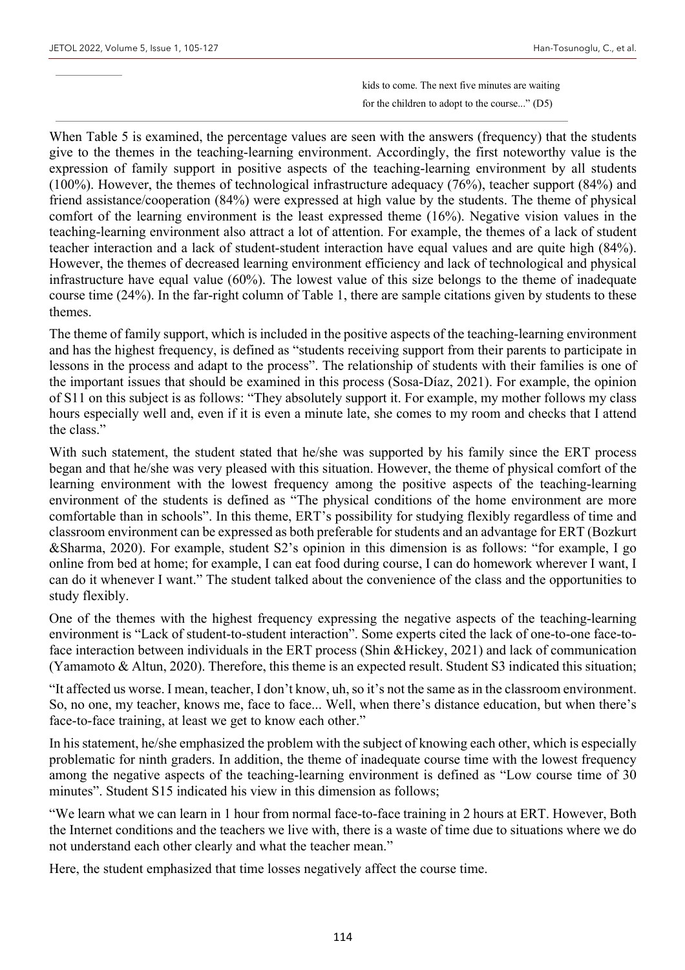kids to come. The next five minutes are waiting for the children to adopt to the course..." (D5)

When Table 5 is examined, the percentage values are seen with the answers (frequency) that the students give to the themes in the teaching-learning environment. Accordingly, the first noteworthy value is the expression of family support in positive aspects of the teaching-learning environment by all students (100%). However, the themes of technological infrastructure adequacy (76%), teacher support (84%) and friend assistance/cooperation (84%) were expressed at high value by the students. The theme of physical comfort of the learning environment is the least expressed theme (16%). Negative vision values in the teaching-learning environment also attract a lot of attention. For example, the themes of a lack of student teacher interaction and a lack of student-student interaction have equal values and are quite high (84%). However, the themes of decreased learning environment efficiency and lack of technological and physical infrastructure have equal value (60%). The lowest value of this size belongs to the theme of inadequate course time (24%). In the far-right column of Table 1, there are sample citations given by students to these themes.

The theme of family support, which is included in the positive aspects of the teaching-learning environment and has the highest frequency, is defined as "students receiving support from their parents to participate in lessons in the process and adapt to the process". The relationship of students with their families is one of the important issues that should be examined in this process (Sosa-Díaz, 2021). For example, the opinion of S11 on this subject is as follows: "They absolutely support it. For example, my mother follows my class hours especially well and, even if it is even a minute late, she comes to my room and checks that I attend the class."

With such statement, the student stated that he/she was supported by his family since the ERT process began and that he/she was very pleased with this situation. However, the theme of physical comfort of the learning environment with the lowest frequency among the positive aspects of the teaching-learning environment of the students is defined as "The physical conditions of the home environment are more comfortable than in schools". In this theme, ERT's possibility for studying flexibly regardless of time and classroom environment can be expressed as both preferable for students and an advantage for ERT (Bozkurt &Sharma, 2020). For example, student S2's opinion in this dimension is as follows: "for example, I go online from bed at home; for example, I can eat food during course, I can do homework wherever I want, I can do it whenever I want." The student talked about the convenience of the class and the opportunities to study flexibly.

One of the themes with the highest frequency expressing the negative aspects of the teaching-learning environment is "Lack of student-to-student interaction". Some experts cited the lack of one-to-one face-toface interaction between individuals in the ERT process (Shin &Hickey, 2021) and lack of communication (Yamamoto & Altun, 2020). Therefore, this theme is an expected result. Student S3 indicated this situation;

"It affected us worse. I mean, teacher, I don't know, uh, so it's not the same as in the classroom environment. So, no one, my teacher, knows me, face to face... Well, when there's distance education, but when there's face-to-face training, at least we get to know each other."

In his statement, he/she emphasized the problem with the subject of knowing each other, which is especially problematic for ninth graders. In addition, the theme of inadequate course time with the lowest frequency among the negative aspects of the teaching-learning environment is defined as "Low course time of 30 minutes". Student S15 indicated his view in this dimension as follows;

"We learn what we can learn in 1 hour from normal face-to-face training in 2 hours at ERT. However, Both the Internet conditions and the teachers we live with, there is a waste of time due to situations where we do not understand each other clearly and what the teacher mean."

Here, the student emphasized that time losses negatively affect the course time.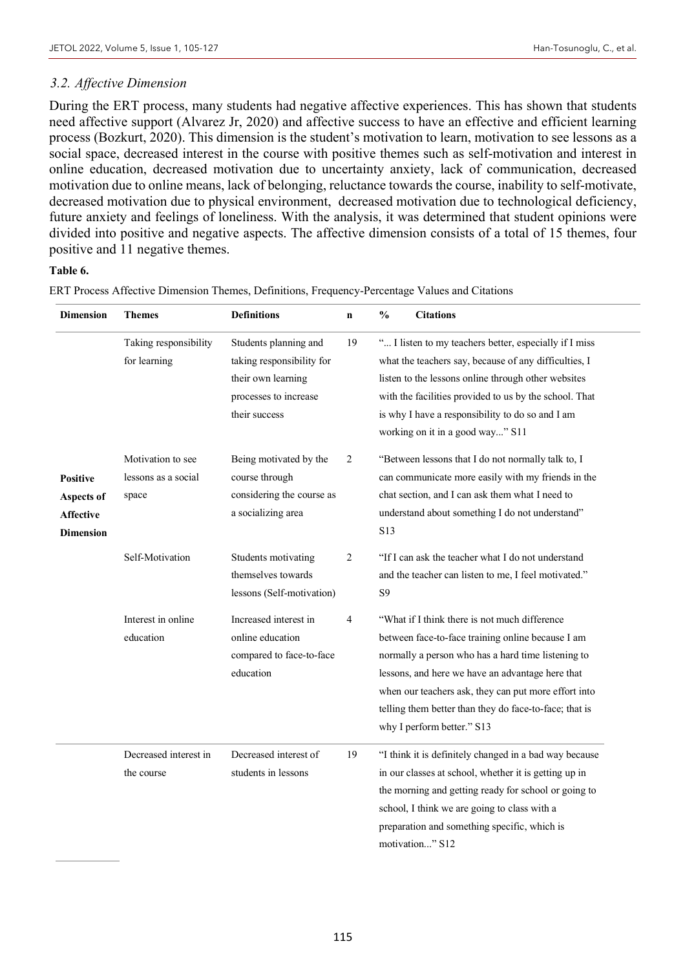## *3.2. Affective Dimension*

During the ERT process, many students had negative affective experiences. This has shown that students need affective support (Alvarez Jr, 2020) and affective success to have an effective and efficient learning process (Bozkurt, 2020). This dimension is the student's motivation to learn, motivation to see lessons as a social space, decreased interest in the course with positive themes such as self-motivation and interest in online education, decreased motivation due to uncertainty anxiety, lack of communication, decreased motivation due to online means, lack of belonging, reluctance towards the course, inability to self-motivate, decreased motivation due to physical environment, decreased motivation due to technological deficiency, future anxiety and feelings of loneliness. With the analysis, it was determined that student opinions were divided into positive and negative aspects. The affective dimension consists of a total of 15 themes, four positive and 11 negative themes.

## **Table 6.**

ERT Process Affective Dimension Themes, Definitions, Frequency-Percentage Values and Citations

| <b>Dimension</b>                                               | <b>Themes</b>                                     | <b>Definitions</b>                                                                                                 | $\mathbf n$    | $\frac{0}{0}$  | <b>Citations</b>                                                                                                                                                                                                                                                                                                                                             |
|----------------------------------------------------------------|---------------------------------------------------|--------------------------------------------------------------------------------------------------------------------|----------------|----------------|--------------------------------------------------------------------------------------------------------------------------------------------------------------------------------------------------------------------------------------------------------------------------------------------------------------------------------------------------------------|
|                                                                | Taking responsibility<br>for learning             | Students planning and<br>taking responsibility for<br>their own learning<br>processes to increase<br>their success | 19             |                | " I listen to my teachers better, especially if I miss<br>what the teachers say, because of any difficulties, I<br>listen to the lessons online through other websites<br>with the facilities provided to us by the school. That<br>is why I have a responsibility to do so and I am<br>working on it in a good way" S11                                     |
| Positive<br>Aspects of<br><b>Affective</b><br><b>Dimension</b> | Motivation to see<br>lessons as a social<br>space | Being motivated by the<br>course through<br>considering the course as<br>a socializing area                        | $\overline{c}$ | S13            | "Between lessons that I do not normally talk to, I<br>can communicate more easily with my friends in the<br>chat section, and I can ask them what I need to<br>understand about something I do not understand"                                                                                                                                               |
|                                                                | Self-Motivation                                   | Students motivating<br>themselves towards<br>lessons (Self-motivation)                                             | $\overline{2}$ | S <sub>9</sub> | "If I can ask the teacher what I do not understand<br>and the teacher can listen to me, I feel motivated."                                                                                                                                                                                                                                                   |
|                                                                | Interest in online<br>education                   | Increased interest in<br>online education<br>compared to face-to-face<br>education                                 | 4              |                | "What if I think there is not much difference<br>between face-to-face training online because I am<br>normally a person who has a hard time listening to<br>lessons, and here we have an advantage here that<br>when our teachers ask, they can put more effort into<br>telling them better than they do face-to-face; that is<br>why I perform better." S13 |
|                                                                | Decreased interest in<br>the course               | Decreased interest of<br>students in lessons                                                                       | 19             |                | "I think it is definitely changed in a bad way because<br>in our classes at school, whether it is getting up in<br>the morning and getting ready for school or going to<br>school, I think we are going to class with a<br>preparation and something specific, which is<br>motivation" S12                                                                   |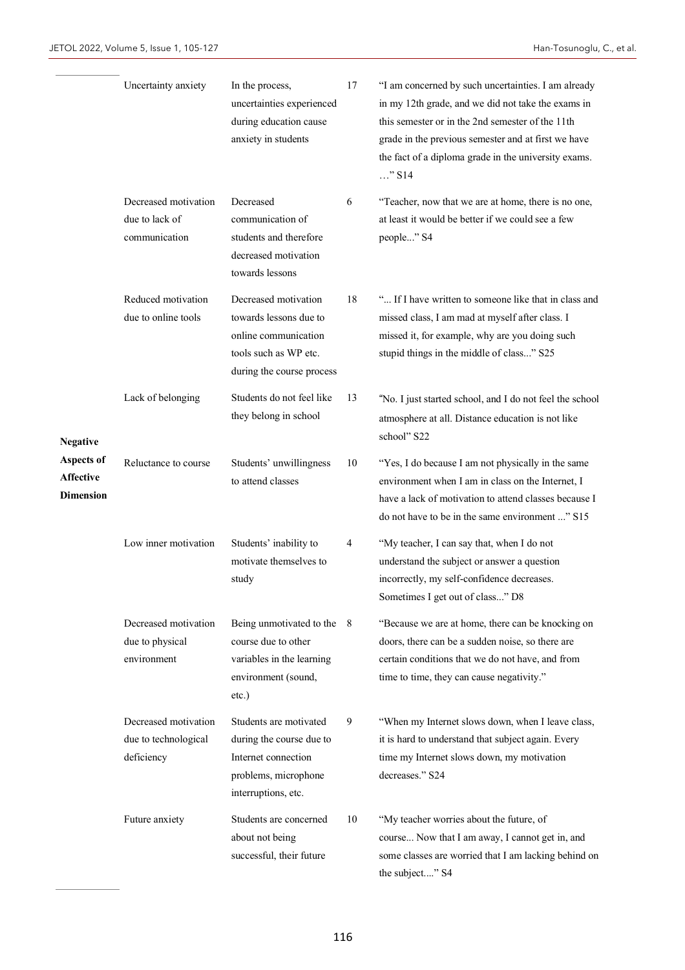L

|                                                    | Uncertainty anxiety                                        | In the process,<br>uncertainties experienced<br>during education cause<br>anxiety in students                                | 17  | "I am concerned by such uncertainties. I am already<br>in my 12th grade, and we did not take the exams in<br>this semester or in the 2nd semester of the 11th<br>grade in the previous semester and at first we have<br>the fact of a diploma grade in the university exams.<br>$\ldots$ " S14 |
|----------------------------------------------------|------------------------------------------------------------|------------------------------------------------------------------------------------------------------------------------------|-----|------------------------------------------------------------------------------------------------------------------------------------------------------------------------------------------------------------------------------------------------------------------------------------------------|
|                                                    | Decreased motivation<br>due to lack of<br>communication    | Decreased<br>communication of<br>students and therefore<br>decreased motivation<br>towards lessons                           | 6   | "Teacher, now that we are at home, there is no one,<br>at least it would be better if we could see a few<br>people" S4                                                                                                                                                                         |
|                                                    | Reduced motivation<br>due to online tools                  | Decreased motivation<br>towards lessons due to<br>online communication<br>tools such as WP etc.<br>during the course process | 18  | " If I have written to someone like that in class and<br>missed class, I am mad at myself after class. I<br>missed it, for example, why are you doing such<br>stupid things in the middle of class" S25                                                                                        |
| <b>Negative</b>                                    | Lack of belonging                                          | Students do not feel like<br>they belong in school                                                                           | 13  | "No. I just started school, and I do not feel the school<br>atmosphere at all. Distance education is not like<br>school" S22                                                                                                                                                                   |
| Aspects of<br><b>Affective</b><br><b>Dimension</b> | Reluctance to course                                       | Students' unwillingness<br>to attend classes                                                                                 | 10  | "Yes, I do because I am not physically in the same<br>environment when I am in class on the Internet, I<br>have a lack of motivation to attend classes because I<br>do not have to be in the same environment " S15                                                                            |
|                                                    | Low inner motivation                                       | Students' inability to<br>motivate themselves to<br>study                                                                    | 4   | "My teacher, I can say that, when I do not<br>understand the subject or answer a question<br>incorrectly, my self-confidence decreases.<br>Sometimes I get out of class" D8                                                                                                                    |
|                                                    | Decreased motivation<br>due to physical<br>environment     | Being unmotivated to the<br>course due to other<br>variables in the learning<br>environment (sound,<br>etc.)                 | - 8 | "Because we are at home, there can be knocking on<br>doors, there can be a sudden noise, so there are<br>certain conditions that we do not have, and from<br>time to time, they can cause negativity."                                                                                         |
|                                                    | Decreased motivation<br>due to technological<br>deficiency | Students are motivated<br>during the course due to<br>Internet connection<br>problems, microphone<br>interruptions, etc.     | 9   | "When my Internet slows down, when I leave class,<br>it is hard to understand that subject again. Every<br>time my Internet slows down, my motivation<br>decreases." S24                                                                                                                       |
|                                                    | Future anxiety                                             | Students are concerned<br>about not being<br>successful, their future                                                        | 10  | "My teacher worries about the future, of<br>course Now that I am away, I cannot get in, and<br>some classes are worried that I am lacking behind on<br>the subject" S4                                                                                                                         |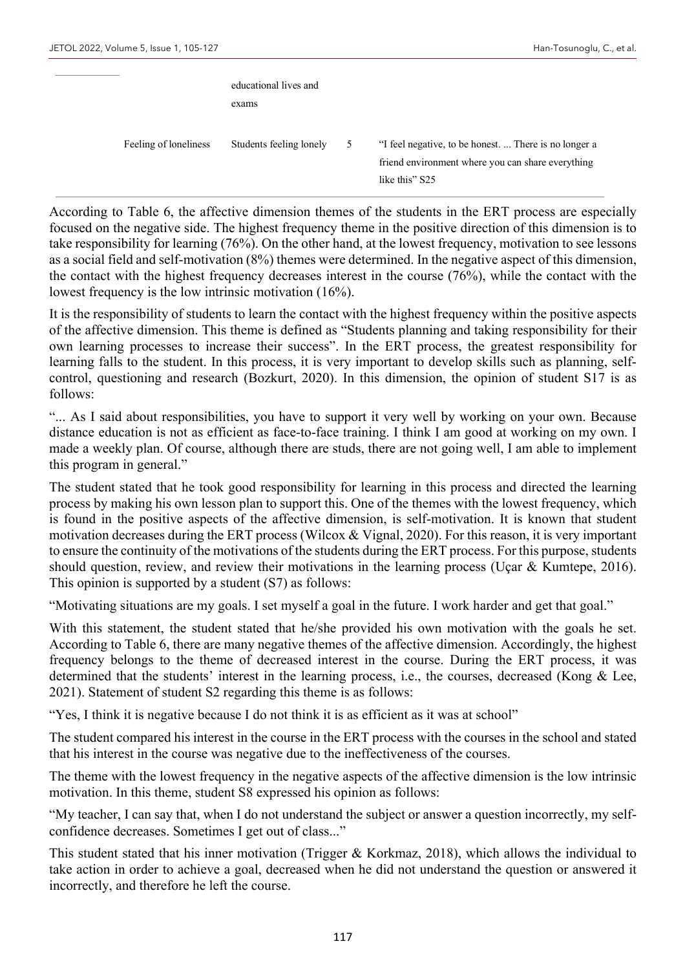|                       | educational lives and<br>exams |   |                                                                                                                              |
|-----------------------|--------------------------------|---|------------------------------------------------------------------------------------------------------------------------------|
| Feeling of loneliness | Students feeling lonely        | 5 | "I feel negative, to be honest.  There is no longer a<br>friend environment where you can share everything<br>like this" S25 |

According to Table 6, the affective dimension themes of the students in the ERT process are especially focused on the negative side. The highest frequency theme in the positive direction of this dimension is to take responsibility for learning (76%). On the other hand, at the lowest frequency, motivation to see lessons as a social field and self-motivation (8%) themes were determined. In the negative aspect of this dimension, the contact with the highest frequency decreases interest in the course (76%), while the contact with the lowest frequency is the low intrinsic motivation (16%).

It is the responsibility of students to learn the contact with the highest frequency within the positive aspects of the affective dimension. This theme is defined as "Students planning and taking responsibility for their own learning processes to increase their success". In the ERT process, the greatest responsibility for learning falls to the student. In this process, it is very important to develop skills such as planning, selfcontrol, questioning and research (Bozkurt, 2020). In this dimension, the opinion of student S17 is as follows:

"... As I said about responsibilities, you have to support it very well by working on your own. Because distance education is not as efficient as face-to-face training. I think I am good at working on my own. I made a weekly plan. Of course, although there are studs, there are not going well, I am able to implement this program in general."

The student stated that he took good responsibility for learning in this process and directed the learning process by making his own lesson plan to support this. One of the themes with the lowest frequency, which is found in the positive aspects of the affective dimension, is self-motivation. It is known that student motivation decreases during the ERT process (Wilcox & Vignal, 2020). For this reason, it is very important to ensure the continuity of the motivations of the students during the ERT process. For this purpose, students should question, review, and review their motivations in the learning process (Uçar & Kumtepe, 2016). This opinion is supported by a student (S7) as follows:

"Motivating situations are my goals. I set myself a goal in the future. I work harder and get that goal."

With this statement, the student stated that he/she provided his own motivation with the goals he set. According to Table 6, there are many negative themes of the affective dimension. Accordingly, the highest frequency belongs to the theme of decreased interest in the course. During the ERT process, it was determined that the students' interest in the learning process, i.e., the courses, decreased (Kong & Lee, 2021). Statement of student S2 regarding this theme is as follows:

"Yes, I think it is negative because I do not think it is as efficient as it was at school"

The student compared his interest in the course in the ERT process with the courses in the school and stated that his interest in the course was negative due to the ineffectiveness of the courses.

The theme with the lowest frequency in the negative aspects of the affective dimension is the low intrinsic motivation. In this theme, student S8 expressed his opinion as follows:

"My teacher, I can say that, when I do not understand the subject or answer a question incorrectly, my selfconfidence decreases. Sometimes I get out of class..."

This student stated that his inner motivation (Trigger & Korkmaz, 2018), which allows the individual to take action in order to achieve a goal, decreased when he did not understand the question or answered it incorrectly, and therefore he left the course.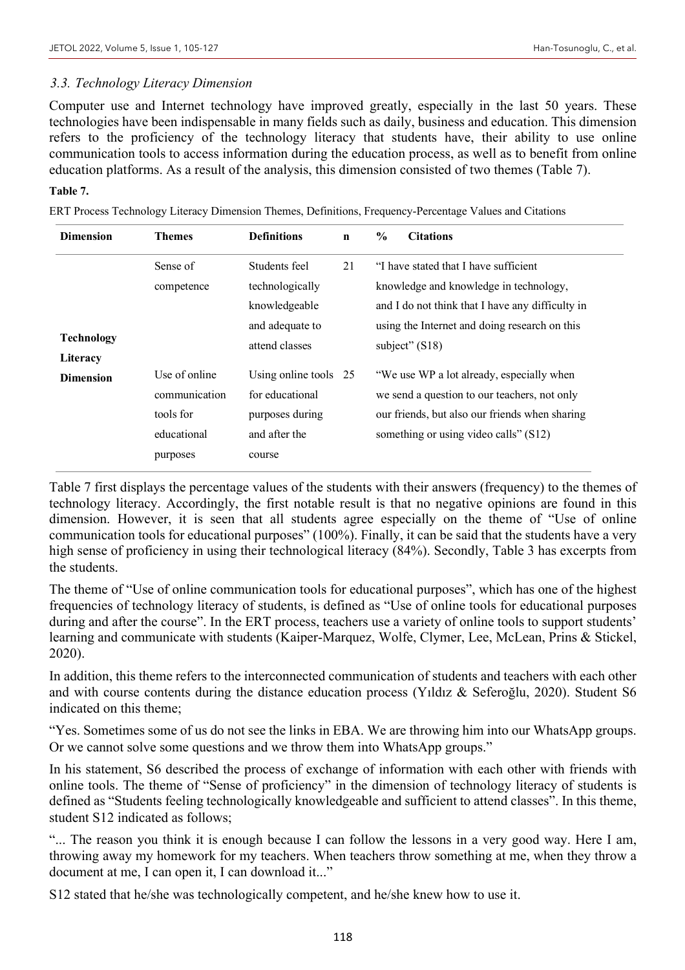#### *3.3. Technology Literacy Dimension*

Computer use and Internet technology have improved greatly, especially in the last 50 years. These technologies have been indispensable in many fields such as daily, business and education. This dimension refers to the proficiency of the technology literacy that students have, their ability to use online communication tools to access information during the education process, as well as to benefit from online education platforms. As a result of the analysis, this dimension consisted of two themes (Table 7).

#### **Table 7.**

ERT Process Technology Literacy Dimension Themes, Definitions, Frequency-Percentage Values and Citations

| <b>Dimension</b>  | Themes        | <b>Definitions</b>    | $\mathbf n$ | $\frac{0}{0}$ | <b>Citations</b>                                 |
|-------------------|---------------|-----------------------|-------------|---------------|--------------------------------------------------|
|                   | Sense of      | Students feel         | 21          |               | "I have stated that I have sufficient            |
|                   | competence    | technologically       |             |               | knowledge and knowledge in technology,           |
|                   |               | knowledgeable         |             |               | and I do not think that I have any difficulty in |
|                   |               | and adequate to       |             |               | using the Internet and doing research on this    |
| <b>Technology</b> |               | attend classes        |             |               | subject" $(S18)$                                 |
| Literacy          |               |                       |             |               |                                                  |
| <b>Dimension</b>  | Use of online | Using online tools 25 |             |               | "We use WP a lot already, especially when        |
|                   | communication | for educational       |             |               | we send a question to our teachers, not only     |
|                   | tools for     | purposes during       |             |               | our friends, but also our friends when sharing   |
|                   | educational   | and after the         |             |               | something or using video calls" (S12)            |
|                   | purposes      | course                |             |               |                                                  |

Table 7 first displays the percentage values of the students with their answers (frequency) to the themes of technology literacy. Accordingly, the first notable result is that no negative opinions are found in this dimension. However, it is seen that all students agree especially on the theme of "Use of online communication tools for educational purposes" (100%). Finally, it can be said that the students have a very high sense of proficiency in using their technological literacy (84%). Secondly, Table 3 has excerpts from the students.

The theme of "Use of online communication tools for educational purposes", which has one of the highest frequencies of technology literacy of students, is defined as "Use of online tools for educational purposes during and after the course". In the ERT process, teachers use a variety of online tools to support students' learning and communicate with students (Kaiper-Marquez, Wolfe, Clymer, Lee, McLean, Prins & Stickel, 2020).

In addition, this theme refers to the interconnected communication of students and teachers with each other and with course contents during the distance education process (Yıldız & Seferoğlu, 2020). Student S6 indicated on this theme;

"Yes. Sometimes some of us do not see the links in EBA. We are throwing him into our WhatsApp groups. Or we cannot solve some questions and we throw them into WhatsApp groups."

In his statement, S6 described the process of exchange of information with each other with friends with online tools. The theme of "Sense of proficiency" in the dimension of technology literacy of students is defined as "Students feeling technologically knowledgeable and sufficient to attend classes". In this theme, student S12 indicated as follows;

"... The reason you think it is enough because I can follow the lessons in a very good way. Here I am, throwing away my homework for my teachers. When teachers throw something at me, when they throw a document at me, I can open it, I can download it..."

S12 stated that he/she was technologically competent, and he/she knew how to use it.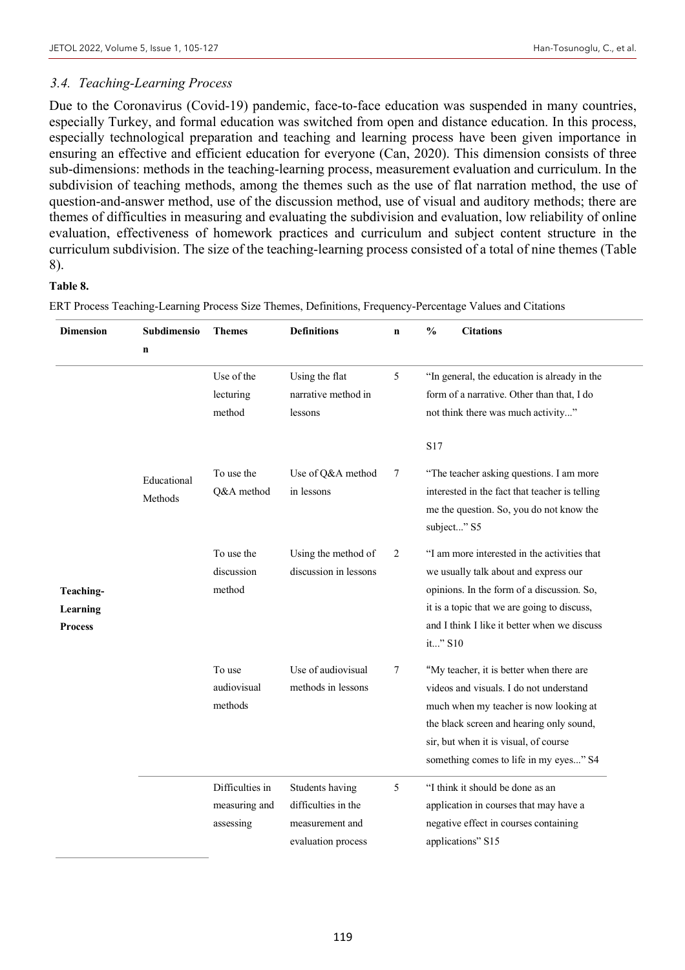## *3.4. Teaching-Learning Process*

Due to the Coronavirus (Covid-19) pandemic, face-to-face education was suspended in many countries, especially Turkey, and formal education was switched from open and distance education. In this process, especially technological preparation and teaching and learning process have been given importance in ensuring an effective and efficient education for everyone (Can, 2020). This dimension consists of three sub-dimensions: methods in the teaching-learning process, measurement evaluation and curriculum. In the subdivision of teaching methods, among the themes such as the use of flat narration method, the use of question-and-answer method, use of the discussion method, use of visual and auditory methods; there are themes of difficulties in measuring and evaluating the subdivision and evaluation, low reliability of online evaluation, effectiveness of homework practices and curriculum and subject content structure in the curriculum subdivision. The size of the teaching-learning process consisted of a total of nine themes (Table 8).

## **Table 8.**

ERT Process Teaching-Learning Process Size Themes, Definitions, Frequency-Percentage Values and Citations

| <b>Dimension</b>                        | <b>Subdimensio</b>     | <b>Themes</b>                                 | <b>Definitions</b>                                                              | $\mathbf n$ | <b>Citations</b><br>$\frac{6}{9}$                                                                                                                                                                                                                            |
|-----------------------------------------|------------------------|-----------------------------------------------|---------------------------------------------------------------------------------|-------------|--------------------------------------------------------------------------------------------------------------------------------------------------------------------------------------------------------------------------------------------------------------|
|                                         | $\mathbf n$            |                                               |                                                                                 |             |                                                                                                                                                                                                                                                              |
|                                         |                        | Use of the<br>lecturing<br>method             | Using the flat<br>narrative method in<br>lessons                                | 5           | "In general, the education is already in the<br>form of a narrative. Other than that, I do<br>not think there was much activity"                                                                                                                             |
|                                         | Educational<br>Methods | To use the<br>Q&A method                      | Use of Q&A method<br>in lessons                                                 | 7           | S <sub>17</sub><br>"The teacher asking questions. I am more<br>interested in the fact that teacher is telling<br>me the question. So, you do not know the<br>subject" S5                                                                                     |
| Teaching-<br>Learning<br><b>Process</b> |                        | To use the<br>discussion<br>method            | Using the method of<br>discussion in lessons                                    | 2           | "I am more interested in the activities that<br>we usually talk about and express our<br>opinions. In the form of a discussion. So,<br>it is a topic that we are going to discuss,<br>and I think I like it better when we discuss<br>it" S10                |
|                                         |                        | To use<br>audiovisual<br>methods              | Use of audiovisual<br>methods in lessons                                        | 7           | "My teacher, it is better when there are<br>videos and visuals. I do not understand<br>much when my teacher is now looking at<br>the black screen and hearing only sound,<br>sir, but when it is visual, of course<br>something comes to life in my eyes" S4 |
|                                         |                        | Difficulties in<br>measuring and<br>assessing | Students having<br>difficulties in the<br>measurement and<br>evaluation process | 5           | "I think it should be done as an<br>application in courses that may have a<br>negative effect in courses containing<br>applications" S15                                                                                                                     |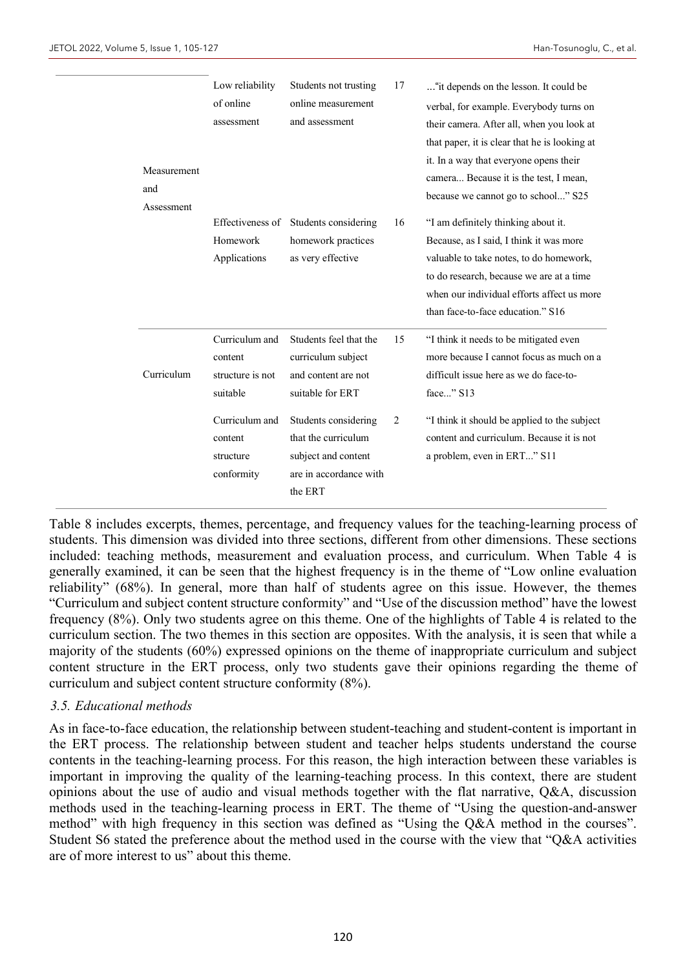| Measurement<br>and<br>Assessment | Low reliability<br>of online<br>assessment                | Students not trusting<br>online measurement<br>and assessment                                           | 17 | "it depends on the lesson. It could be<br>verbal, for example. Everybody turns on<br>their camera. After all, when you look at<br>that paper, it is clear that he is looking at<br>it. In a way that everyone opens their<br>camera Because it is the test, I mean,<br>because we cannot go to school" S25 |
|----------------------------------|-----------------------------------------------------------|---------------------------------------------------------------------------------------------------------|----|------------------------------------------------------------------------------------------------------------------------------------------------------------------------------------------------------------------------------------------------------------------------------------------------------------|
|                                  | Homework<br>Applications                                  | Effectiveness of Students considering<br>homework practices<br>as very effective                        | 16 | "I am definitely thinking about it.<br>Because, as I said, I think it was more<br>valuable to take notes, to do homework,<br>to do research, because we are at a time<br>when our individual efforts affect us more<br>than face-to-face education." S16                                                   |
| Curriculum                       | Curriculum and<br>content<br>structure is not<br>suitable | Students feel that the<br>curriculum subject<br>and content are not<br>suitable for ERT                 | 15 | "I think it needs to be mitigated even<br>more because I cannot focus as much on a<br>difficult issue here as we do face-to-<br>face" S13                                                                                                                                                                  |
|                                  | Curriculum and<br>content<br>structure<br>conformity      | Students considering<br>that the curriculum<br>subject and content<br>are in accordance with<br>the ERT | 2  | "I think it should be applied to the subject<br>content and curriculum. Because it is not<br>a problem, even in ERT" S11                                                                                                                                                                                   |

Table 8 includes excerpts, themes, percentage, and frequency values for the teaching-learning process of students. This dimension was divided into three sections, different from other dimensions. These sections included: teaching methods, measurement and evaluation process, and curriculum. When Table 4 is generally examined, it can be seen that the highest frequency is in the theme of "Low online evaluation reliability" (68%). In general, more than half of students agree on this issue. However, the themes "Curriculum and subject content structure conformity" and "Use of the discussion method" have the lowest frequency (8%). Only two students agree on this theme. One of the highlights of Table 4 is related to the curriculum section. The two themes in this section are opposites. With the analysis, it is seen that while a majority of the students (60%) expressed opinions on the theme of inappropriate curriculum and subject content structure in the ERT process, only two students gave their opinions regarding the theme of curriculum and subject content structure conformity (8%).

#### *3.5. Educational methods*

As in face-to-face education, the relationship between student-teaching and student-content is important in the ERT process. The relationship between student and teacher helps students understand the course contents in the teaching-learning process. For this reason, the high interaction between these variables is important in improving the quality of the learning-teaching process. In this context, there are student opinions about the use of audio and visual methods together with the flat narrative, Q&A, discussion methods used in the teaching-learning process in ERT. The theme of "Using the question-and-answer method" with high frequency in this section was defined as "Using the Q&A method in the courses". Student S6 stated the preference about the method used in the course with the view that "Q&A activities are of more interest to us" about this theme.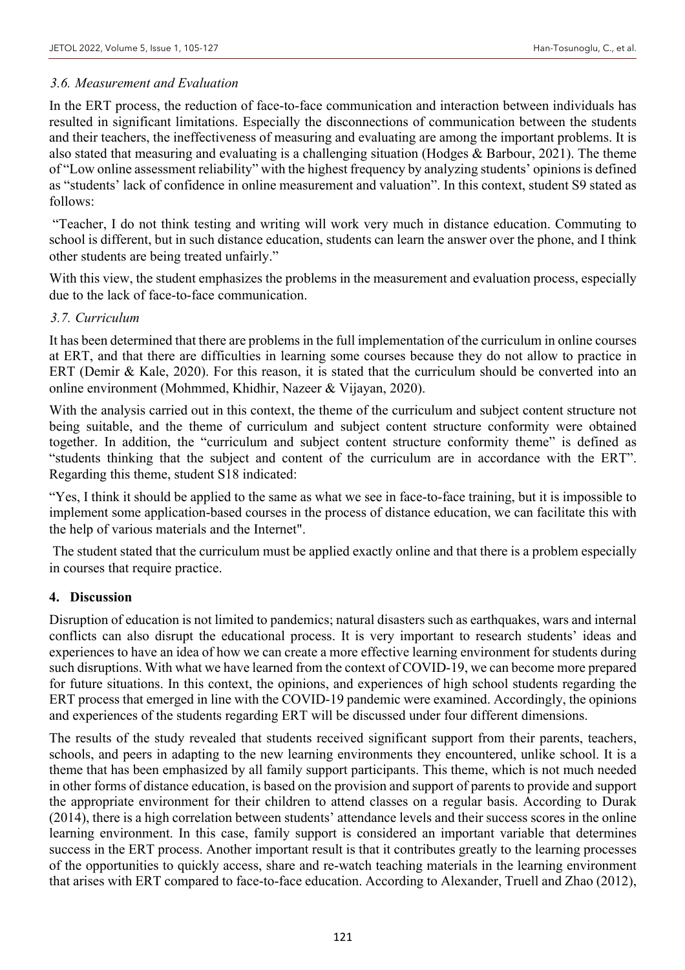## *3.6. Measurement and Evaluation*

In the ERT process, the reduction of face-to-face communication and interaction between individuals has resulted in significant limitations. Especially the disconnections of communication between the students and their teachers, the ineffectiveness of measuring and evaluating are among the important problems. It is also stated that measuring and evaluating is a challenging situation (Hodges & Barbour, 2021). The theme of "Low online assessment reliability" with the highest frequency by analyzing students' opinions is defined as "students' lack of confidence in online measurement and valuation". In this context, student S9 stated as follows:

"Teacher, I do not think testing and writing will work very much in distance education. Commuting to school is different, but in such distance education, students can learn the answer over the phone, and I think other students are being treated unfairly."

With this view, the student emphasizes the problems in the measurement and evaluation process, especially due to the lack of face-to-face communication.

## *3.7. Curriculum*

It has been determined that there are problems in the full implementation of the curriculum in online courses at ERT, and that there are difficulties in learning some courses because they do not allow to practice in ERT (Demir & Kale, 2020). For this reason, it is stated that the curriculum should be converted into an online environment (Mohmmed, Khidhir, Nazeer & Vijayan, 2020).

With the analysis carried out in this context, the theme of the curriculum and subject content structure not being suitable, and the theme of curriculum and subject content structure conformity were obtained together. In addition, the "curriculum and subject content structure conformity theme" is defined as "students thinking that the subject and content of the curriculum are in accordance with the ERT". Regarding this theme, student S18 indicated:

"Yes, I think it should be applied to the same as what we see in face-to-face training, but it is impossible to implement some application-based courses in the process of distance education, we can facilitate this with the help of various materials and the Internet".

The student stated that the curriculum must be applied exactly online and that there is a problem especially in courses that require practice.

## **4. Discussion**

Disruption of education is not limited to pandemics; natural disasters such as earthquakes, wars and internal conflicts can also disrupt the educational process. It is very important to research students' ideas and experiences to have an idea of how we can create a more effective learning environment for students during such disruptions. With what we have learned from the context of COVID-19, we can become more prepared for future situations. In this context, the opinions, and experiences of high school students regarding the ERT process that emerged in line with the COVID-19 pandemic were examined. Accordingly, the opinions and experiences of the students regarding ERT will be discussed under four different dimensions.

The results of the study revealed that students received significant support from their parents, teachers, schools, and peers in adapting to the new learning environments they encountered, unlike school. It is a theme that has been emphasized by all family support participants. This theme, which is not much needed in other forms of distance education, is based on the provision and support of parents to provide and support the appropriate environment for their children to attend classes on a regular basis. According to Durak (2014), there is a high correlation between students' attendance levels and their success scores in the online learning environment. In this case, family support is considered an important variable that determines success in the ERT process. Another important result is that it contributes greatly to the learning processes of the opportunities to quickly access, share and re-watch teaching materials in the learning environment that arises with ERT compared to face-to-face education. According to Alexander, Truell and Zhao (2012),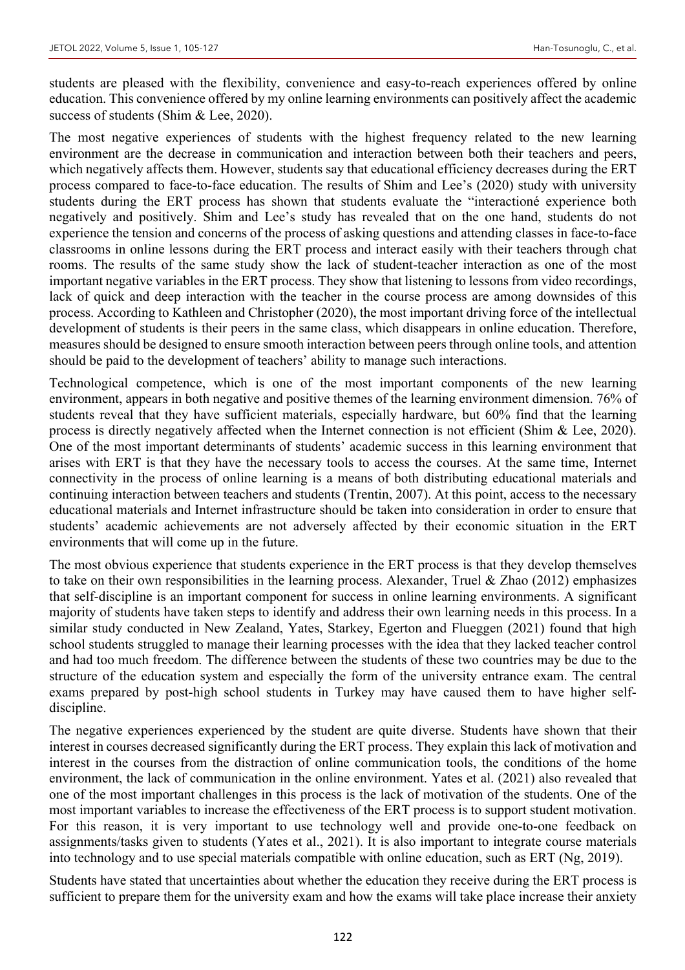students are pleased with the flexibility, convenience and easy-to-reach experiences offered by online education. This convenience offered by my online learning environments can positively affect the academic success of students (Shim & Lee, 2020).

The most negative experiences of students with the highest frequency related to the new learning environment are the decrease in communication and interaction between both their teachers and peers, which negatively affects them. However, students say that educational efficiency decreases during the ERT process compared to face-to-face education. The results of Shim and Lee's (2020) study with university students during the ERT process has shown that students evaluate the "interactioné experience both negatively and positively. Shim and Lee's study has revealed that on the one hand, students do not experience the tension and concerns of the process of asking questions and attending classes in face-to-face classrooms in online lessons during the ERT process and interact easily with their teachers through chat rooms. The results of the same study show the lack of student-teacher interaction as one of the most important negative variables in the ERT process. They show that listening to lessons from video recordings, lack of quick and deep interaction with the teacher in the course process are among downsides of this process. According to Kathleen and Christopher (2020), the most important driving force of the intellectual development of students is their peers in the same class, which disappears in online education. Therefore, measures should be designed to ensure smooth interaction between peers through online tools, and attention should be paid to the development of teachers' ability to manage such interactions.

Technological competence, which is one of the most important components of the new learning environment, appears in both negative and positive themes of the learning environment dimension. 76% of students reveal that they have sufficient materials, especially hardware, but 60% find that the learning process is directly negatively affected when the Internet connection is not efficient (Shim & Lee, 2020). One of the most important determinants of students' academic success in this learning environment that arises with ERT is that they have the necessary tools to access the courses. At the same time, Internet connectivity in the process of online learning is a means of both distributing educational materials and continuing interaction between teachers and students (Trentin, 2007). At this point, access to the necessary educational materials and Internet infrastructure should be taken into consideration in order to ensure that students' academic achievements are not adversely affected by their economic situation in the ERT environments that will come up in the future.

The most obvious experience that students experience in the ERT process is that they develop themselves to take on their own responsibilities in the learning process. Alexander, Truel & Zhao (2012) emphasizes that self-discipline is an important component for success in online learning environments. A significant majority of students have taken steps to identify and address their own learning needs in this process. In a similar study conducted in New Zealand, Yates, Starkey, Egerton and Flueggen (2021) found that high school students struggled to manage their learning processes with the idea that they lacked teacher control and had too much freedom. The difference between the students of these two countries may be due to the structure of the education system and especially the form of the university entrance exam. The central exams prepared by post-high school students in Turkey may have caused them to have higher selfdiscipline.

The negative experiences experienced by the student are quite diverse. Students have shown that their interest in courses decreased significantly during the ERT process. They explain this lack of motivation and interest in the courses from the distraction of online communication tools, the conditions of the home environment, the lack of communication in the online environment. Yates et al. (2021) also revealed that one of the most important challenges in this process is the lack of motivation of the students. One of the most important variables to increase the effectiveness of the ERT process is to support student motivation. For this reason, it is very important to use technology well and provide one-to-one feedback on assignments/tasks given to students (Yates et al., 2021). It is also important to integrate course materials into technology and to use special materials compatible with online education, such as ERT (Ng, 2019).

Students have stated that uncertainties about whether the education they receive during the ERT process is sufficient to prepare them for the university exam and how the exams will take place increase their anxiety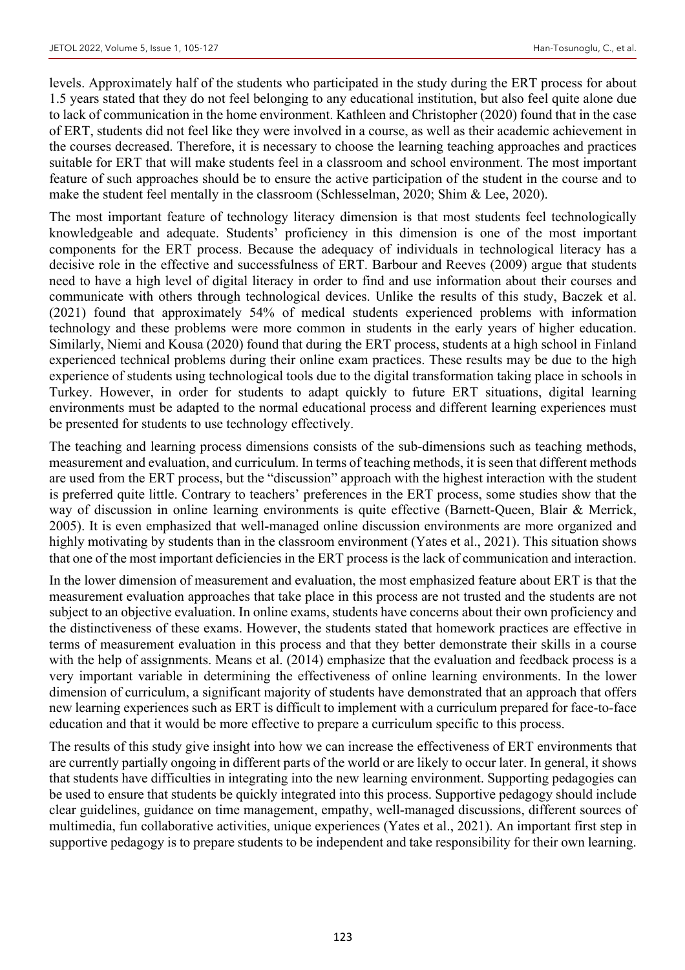levels. Approximately half of the students who participated in the study during the ERT process for about 1.5 years stated that they do not feel belonging to any educational institution, but also feel quite alone due to lack of communication in the home environment. Kathleen and Christopher (2020) found that in the case of ERT, students did not feel like they were involved in a course, as well as their academic achievement in the courses decreased. Therefore, it is necessary to choose the learning teaching approaches and practices suitable for ERT that will make students feel in a classroom and school environment. The most important feature of such approaches should be to ensure the active participation of the student in the course and to make the student feel mentally in the classroom (Schlesselman, 2020; Shim & Lee, 2020).

The most important feature of technology literacy dimension is that most students feel technologically knowledgeable and adequate. Students' proficiency in this dimension is one of the most important components for the ERT process. Because the adequacy of individuals in technological literacy has a decisive role in the effective and successfulness of ERT. Barbour and Reeves (2009) argue that students need to have a high level of digital literacy in order to find and use information about their courses and communicate with others through technological devices. Unlike the results of this study, Baczek et al. (2021) found that approximately 54% of medical students experienced problems with information technology and these problems were more common in students in the early years of higher education. Similarly, Niemi and Kousa (2020) found that during the ERT process, students at a high school in Finland experienced technical problems during their online exam practices. These results may be due to the high experience of students using technological tools due to the digital transformation taking place in schools in Turkey. However, in order for students to adapt quickly to future ERT situations, digital learning environments must be adapted to the normal educational process and different learning experiences must be presented for students to use technology effectively.

The teaching and learning process dimensions consists of the sub-dimensions such as teaching methods, measurement and evaluation, and curriculum. In terms of teaching methods, it is seen that different methods are used from the ERT process, but the "discussion" approach with the highest interaction with the student is preferred quite little. Contrary to teachers' preferences in the ERT process, some studies show that the way of discussion in online learning environments is quite effective (Barnett-Queen, Blair & Merrick, 2005). It is even emphasized that well-managed online discussion environments are more organized and highly motivating by students than in the classroom environment (Yates et al., 2021). This situation shows that one of the most important deficiencies in the ERT process is the lack of communication and interaction.

In the lower dimension of measurement and evaluation, the most emphasized feature about ERT is that the measurement evaluation approaches that take place in this process are not trusted and the students are not subject to an objective evaluation. In online exams, students have concerns about their own proficiency and the distinctiveness of these exams. However, the students stated that homework practices are effective in terms of measurement evaluation in this process and that they better demonstrate their skills in a course with the help of assignments. Means et al. (2014) emphasize that the evaluation and feedback process is a very important variable in determining the effectiveness of online learning environments. In the lower dimension of curriculum, a significant majority of students have demonstrated that an approach that offers new learning experiences such as ERT is difficult to implement with a curriculum prepared for face-to-face education and that it would be more effective to prepare a curriculum specific to this process.

The results of this study give insight into how we can increase the effectiveness of ERT environments that are currently partially ongoing in different parts of the world or are likely to occur later. In general, it shows that students have difficulties in integrating into the new learning environment. Supporting pedagogies can be used to ensure that students be quickly integrated into this process. Supportive pedagogy should include clear guidelines, guidance on time management, empathy, well-managed discussions, different sources of multimedia, fun collaborative activities, unique experiences (Yates et al., 2021). An important first step in supportive pedagogy is to prepare students to be independent and take responsibility for their own learning.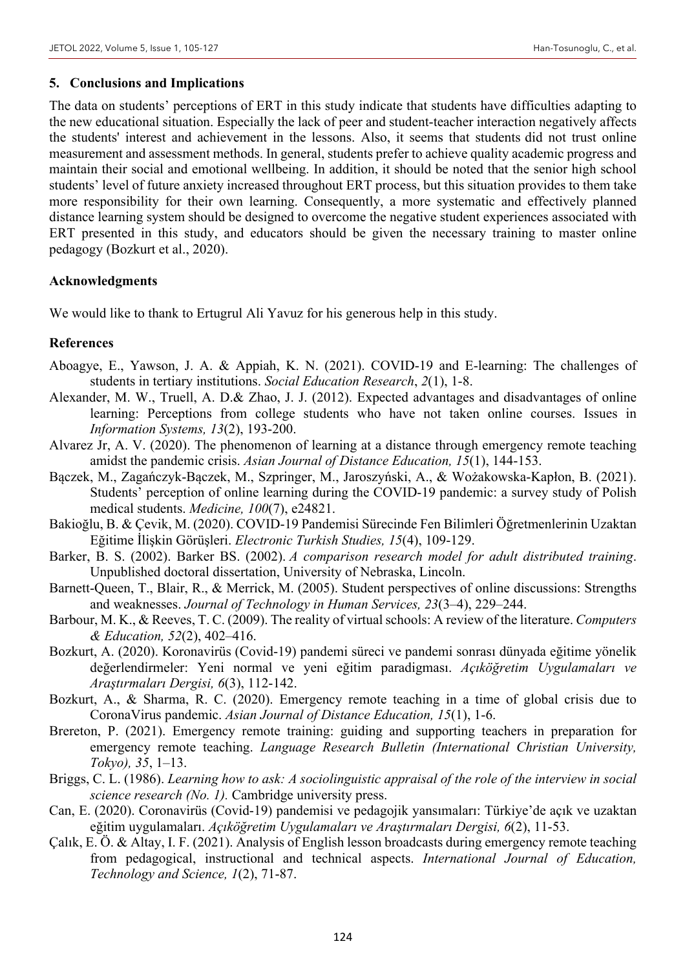#### **5. Conclusions and Implications**

The data on students' perceptions of ERT in this study indicate that students have difficulties adapting to the new educational situation. Especially the lack of peer and student-teacher interaction negatively affects the students' interest and achievement in the lessons. Also, it seems that students did not trust online measurement and assessment methods. In general, students prefer to achieve quality academic progress and maintain their social and emotional wellbeing. In addition, it should be noted that the senior high school students' level of future anxiety increased throughout ERT process, but this situation provides to them take more responsibility for their own learning. Consequently, a more systematic and effectively planned distance learning system should be designed to overcome the negative student experiences associated with ERT presented in this study, and educators should be given the necessary training to master online pedagogy (Bozkurt et al., 2020).

#### **Acknowledgments**

We would like to thank to Ertugrul Ali Yavuz for his generous help in this study.

#### **References**

- Aboagye, E., Yawson, J. A. & Appiah, K. N. (2021). COVID-19 and E-learning: The challenges of students in tertiary institutions. *Social Education Research*, *2*(1), 1-8.
- Alexander, M. W., Truell, A. D.& Zhao, J. J. (2012). Expected advantages and disadvantages of online learning: Perceptions from college students who have not taken online courses. Issues in *Information Systems, 13*(2), 193-200.
- Alvarez Jr, A. V. (2020). The phenomenon of learning at a distance through emergency remote teaching amidst the pandemic crisis. *Asian Journal of Distance Education, 15*(1), 144-153.
- Bączek, M., Zagańczyk-Bączek, M., Szpringer, M., Jaroszyński, A., & Wożakowska-Kapłon, B. (2021). Students' perception of online learning during the COVID-19 pandemic: a survey study of Polish medical students. *Medicine, 100*(7), e24821.
- Bakioğlu, B. & Çevik, M. (2020). COVID-19 Pandemisi Sürecinde Fen Bilimleri Öğretmenlerinin Uzaktan Eğitime İlişkin Görüşleri. *Electronic Turkish Studies, 15*(4), 109-129.
- Barker, B. S. (2002). Barker BS. (2002). *A comparison research model for adult distributed training*. Unpublished doctoral dissertation, University of Nebraska, Lincoln.
- Barnett-Queen, T., Blair, R., & Merrick, M. (2005). Student perspectives of online discussions: Strengths and weaknesses. *Journal of Technology in Human Services, 23*(3–4), 229–244.
- Barbour, M. K., & Reeves, T. C. (2009). The reality of virtual schools: A review of the literature. *Computers & Education, 52*(2), 402–416.
- Bozkurt, A. (2020). Koronavirüs (Covid-19) pandemi süreci ve pandemi sonrası dünyada eğitime yönelik değerlendirmeler: Yeni normal ve yeni eğitim paradigması. *Açıköğretim Uygulamaları ve Araştırmaları Dergisi, 6*(3), 112-142.
- Bozkurt, A., & Sharma, R. C. (2020). Emergency remote teaching in a time of global crisis due to CoronaVirus pandemic. *Asian Journal of Distance Education, 15*(1), 1-6.
- Brereton, P. (2021). Emergency remote training: guiding and supporting teachers in preparation for emergency remote teaching. *Language Research Bulletin (International Christian University, Tokyo), 35*, 1–13.
- Briggs, C. L. (1986). *Learning how to ask: A sociolinguistic appraisal of the role of the interview in social science research (No. 1).* Cambridge university press.
- Can, E. (2020). Coronavirüs (Covid-19) pandemisi ve pedagojik yansımaları: Türkiye'de açık ve uzaktan eğitim uygulamaları. *Açıköğretim Uygulamaları ve Araştırmaları Dergisi, 6*(2), 11-53.
- Çalık, E. Ö. & Altay, I. F. (2021). Analysis of English lesson broadcasts during emergency remote teaching from pedagogical, instructional and technical aspects. *International Journal of Education, Technology and Science, 1*(2), 71-87.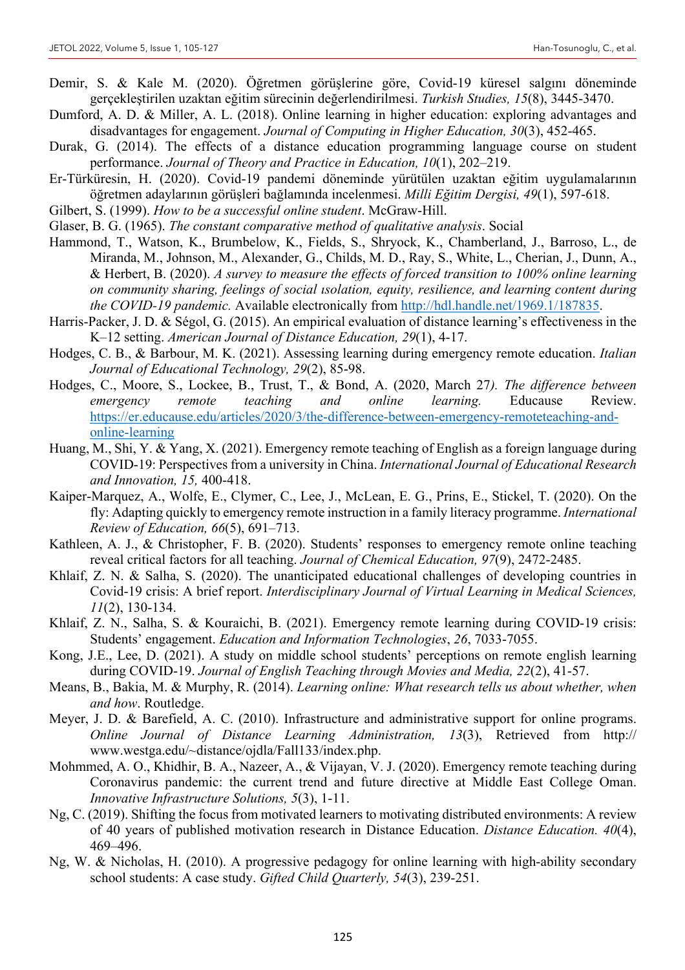- Demir, S. & Kale M. (2020). Öğretmen görüşlerine göre, Covid-19 küresel salgını döneminde gerçekleştirilen uzaktan eğitim sürecinin değerlendirilmesi. *Turkish Studies, 15*(8), 3445-3470.
- Dumford, A. D. & Miller, A. L. (2018). Online learning in higher education: exploring advantages and disadvantages for engagement. *Journal of Computing in Higher Education, 30*(3), 452-465.
- Durak, G. (2014). The effects of a distance education programming language course on student performance. *Journal of Theory and Practice in Education, 10*(1), 202–219.
- Er-Türküresin, H. (2020). Covid-19 pandemi döneminde yürütülen uzaktan eğitim uygulamalarının öğretmen adaylarının görüşleri bağlamında incelenmesi. *Milli Eğitim Dergisi, 49*(1), 597-618.
- Gilbert, S. (1999). *How to be a successful online student*. McGraw-Hill.
- Glaser, B. G. (1965). *The constant comparative method of qualitative analysis*. Social
- Hammond, T., Watson, K., Brumbelow, K., Fields, S., Shryock, K., Chamberland, J., Barroso, L., de Miranda, M., Johnson, M., Alexander, G., Childs, M. D., Ray, S., White, L., Cherian, J., Dunn, A., & Herbert, B. (2020). *A survey to measure the effects of forced transition to 100% online learning on community sharing, feelings of social ısolation, equity, resilience, and learning content during the COVID-19 pandemic.* Available electronically from http://hdl.handle.net/1969.1/187835.
- Harris-Packer, J. D. & Ségol, G. (2015). An empirical evaluation of distance learning's effectiveness in the K–12 setting. *American Journal of Distance Education, 29*(1), 4-17.
- Hodges, C. B., & Barbour, M. K. (2021). Assessing learning during emergency remote education. *Italian Journal of Educational Technology, 29*(2), 85-98.
- Hodges, C., Moore, S., Lockee, B., Trust, T., & Bond, A. (2020, March 27*). The difference between emergency remote teaching and online learning.* Educause Review. https://er.educause.edu/articles/2020/3/the-difference-between-emergency-remoteteaching-andonline-learning
- Huang, M., Shi, Y. & Yang, X. (2021). Emergency remote teaching of English as a foreign language during COVID-19: Perspectives from a university in China. *International Journal of Educational Research and Innovation, 15,* 400-418.
- Kaiper‐Marquez, A., Wolfe, E., Clymer, C., Lee, J., McLean, E. G., Prins, E., Stickel, T. (2020). On the fly: Adapting quickly to emergency remote instruction in a family literacy programme. *International Review of Education, 66*(5), 691–713.
- Kathleen, A. J., & Christopher, F. B. (2020). Students' responses to emergency remote online teaching reveal critical factors for all teaching. *Journal of Chemical Education, 97*(9), 2472-2485.
- Khlaif, Z. N. & Salha, S. (2020). The unanticipated educational challenges of developing countries in Covid-19 crisis: A brief report. *Interdisciplinary Journal of Virtual Learning in Medical Sciences, 11*(2), 130-134.
- Khlaif, Z. N., Salha, S. & Kouraichi, B. (2021). Emergency remote learning during COVID-19 crisis: Students' engagement. *Education and Information Technologies*, *26*, 7033-7055.
- Kong, J.E., Lee, D. (2021). A study on middle school students' perceptions on remote english learning during COVID-19. *Journal of English Teaching through Movies and Media, 22*(2), 41-57.
- Means, B., Bakia, M. & Murphy, R. (2014). *Learning online: What research tells us about whether, when and how*. Routledge.
- Meyer, J. D. & Barefield, A. C. (2010). Infrastructure and administrative support for online programs. *Online Journal of Distance Learning Administration, 13*(3), Retrieved from http:// www.westga.edu/~distance/ojdla/Fall133/index.php.
- Mohmmed, A. O., Khidhir, B. A., Nazeer, A., & Vijayan, V. J. (2020). Emergency remote teaching during Coronavirus pandemic: the current trend and future directive at Middle East College Oman. *Innovative Infrastructure Solutions, 5*(3), 1-11.
- Ng, C. (2019). Shifting the focus from motivated learners to motivating distributed environments: A review of 40 years of published motivation research in Distance Education. *Distance Education. 40*(4), 469–496.
- Ng, W. & Nicholas, H. (2010). A progressive pedagogy for online learning with high-ability secondary school students: A case study. *Gifted Child Quarterly, 54*(3), 239-251.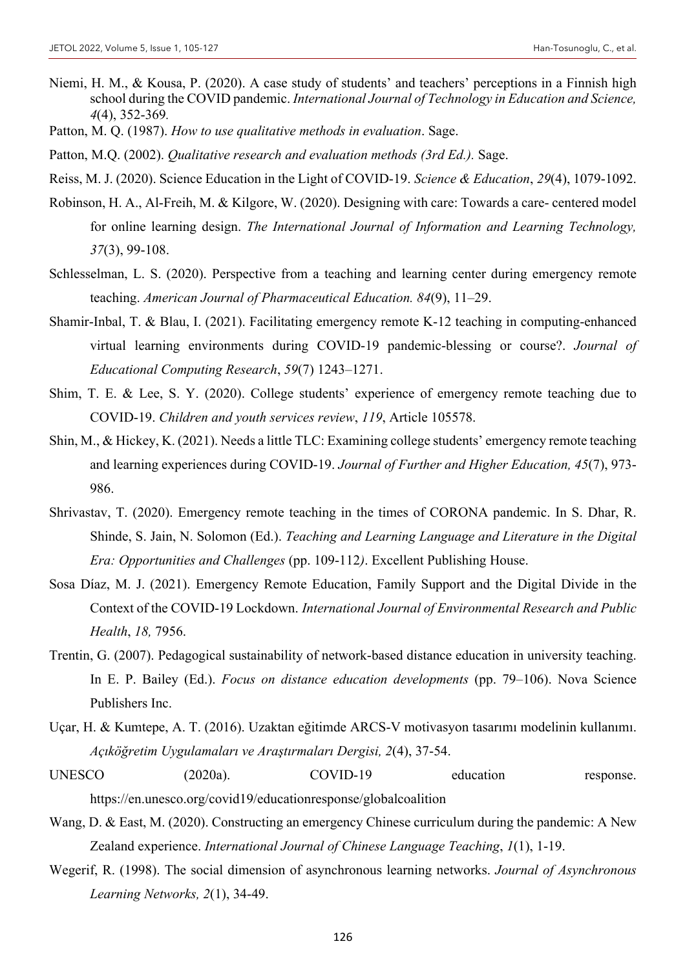- Niemi, H. M., & Kousa, P. (2020). A case study of students' and teachers' perceptions in a Finnish high school during the COVID pandemic. *International Journal of Technology in Education and Science, 4*(4), 352-369*.*
- Patton, M. Q. (1987). *How to use qualitative methods in evaluation*. Sage.
- Patton, M.Q. (2002). *Qualitative research and evaluation methods (3rd Ed.).* Sage.
- Reiss, M. J. (2020). Science Education in the Light of COVID-19. *Science & Education*, *29*(4), 1079-1092.
- Robinson, H. A., Al-Freih, M. & Kilgore, W. (2020). Designing with care: Towards a care- centered model for online learning design. *The International Journal of Information and Learning Technology, 37*(3), 99-108.
- Schlesselman, L. S. (2020). Perspective from a teaching and learning center during emergency remote teaching. *American Journal of Pharmaceutical Education. 84*(9), 11–29.
- Shamir-Inbal, T. & Blau, I. (2021). Facilitating emergency remote K-12 teaching in computing-enhanced virtual learning environments during COVID-19 pandemic-blessing or course?. *Journal of Educational Computing Research*, *59*(7) 1243–1271.
- Shim, T. E. & Lee, S. Y. (2020). College students' experience of emergency remote teaching due to COVID-19. *Children and youth services review*, *119*, Article 105578.
- Shin, M., & Hickey, K. (2021). Needs a little TLC: Examining college students' emergency remote teaching and learning experiences during COVID-19. *Journal of Further and Higher Education, 45*(7), 973- 986.
- Shrivastav, T. (2020). Emergency remote teaching in the times of CORONA pandemic. In S. Dhar, R. Shinde, S. Jain, N. Solomon (Ed.). *Teaching and Learning Language and Literature in the Digital Era: Opportunities and Challenges* (pp. 109-112*)*. Excellent Publishing House.
- Sosa Díaz, M. J. (2021). Emergency Remote Education, Family Support and the Digital Divide in the Context of the COVID-19 Lockdown. *International Journal of Environmental Research and Public Health*, *18,* 7956.
- Trentin, G. (2007). Pedagogical sustainability of network-based distance education in university teaching. In E. P. Bailey (Ed.). *Focus on distance education developments* (pp. 79–106). Nova Science Publishers Inc.
- Uçar, H. & Kumtepe, A. T. (2016). Uzaktan eğitimde ARCS-V motivasyon tasarımı modelinin kullanımı. *Açıköğretim Uygulamaları ve Araştırmaları Dergisi, 2*(4), 37-54.
- UNESCO (2020a). COVID-19 education response. https://en.unesco.org/covid19/educationresponse/globalcoalition
- Wang, D. & East, M. (2020). Constructing an emergency Chinese curriculum during the pandemic: A New Zealand experience. *International Journal of Chinese Language Teaching*, *1*(1), 1-19.
- Wegerif, R. (1998). The social dimension of asynchronous learning networks. *Journal of Asynchronous Learning Networks, 2*(1), 34-49.